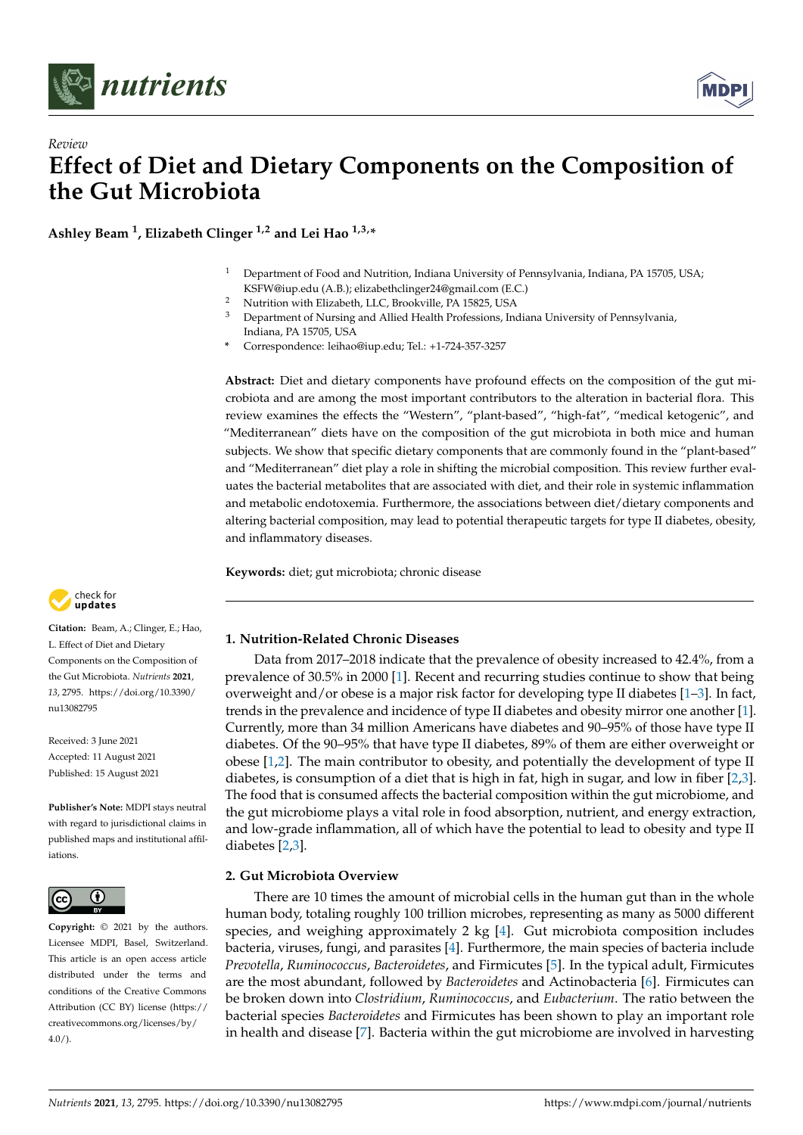



# *Review* **Effect of Diet and Dietary Components on the Composition of the Gut Microbiota**

**Ashley Beam <sup>1</sup> , Elizabeth Clinger 1,2 and Lei Hao 1,3,\***

- <sup>1</sup> Department of Food and Nutrition, Indiana University of Pennsylvania, Indiana, PA 15705, USA; KSFW@iup.edu (A.B.); elizabethclinger24@gmail.com (E.C.)
- <sup>2</sup> Nutrition with Elizabeth, LLC, Brookville, PA 15825, USA<br><sup>3</sup> Department of Nursing and Allied Health Brofessions, Inc.
- <sup>3</sup> Department of Nursing and Allied Health Professions, Indiana University of Pennsylvania, Indiana, PA 15705, USA
- **\*** Correspondence: leihao@iup.edu; Tel.: +1-724-357-3257

**Abstract:** Diet and dietary components have profound effects on the composition of the gut microbiota and are among the most important contributors to the alteration in bacterial flora. This review examines the effects the "Western", "plant-based", "high-fat", "medical ketogenic", and "Mediterranean" diets have on the composition of the gut microbiota in both mice and human subjects. We show that specific dietary components that are commonly found in the "plant-based" and "Mediterranean" diet play a role in shifting the microbial composition. This review further evaluates the bacterial metabolites that are associated with diet, and their role in systemic inflammation and metabolic endotoxemia. Furthermore, the associations between diet/dietary components and altering bacterial composition, may lead to potential therapeutic targets for type II diabetes, obesity, and inflammatory diseases.

**Keywords:** diet; gut microbiota; chronic disease



**Citation:** Beam, A.; Clinger, E.; Hao, L. Effect of Diet and Dietary Components on the Composition of the Gut Microbiota. *Nutrients* **2021**, *13*, 2795. [https://doi.org/10.3390/](https://doi.org/10.3390/nu13082795) [nu13082795](https://doi.org/10.3390/nu13082795)

Received: 3 June 2021 Accepted: 11 August 2021 Published: 15 August 2021

**Publisher's Note:** MDPI stays neutral with regard to jurisdictional claims in published maps and institutional affiliations.



**Copyright:** © 2021 by the authors. Licensee MDPI, Basel, Switzerland. This article is an open access article distributed under the terms and conditions of the Creative Commons Attribution (CC BY) license (https:/[/](https://creativecommons.org/licenses/by/4.0/) [creativecommons.org/licenses/by/](https://creativecommons.org/licenses/by/4.0/)  $4.0/$ ).

**1. Nutrition-Related Chronic Diseases**

Data from 2017–2018 indicate that the prevalence of obesity increased to 42.4%, from a prevalence of 30.5% in 2000 [\[1\]](#page-10-0). Recent and recurring studies continue to show that being overweight and/or obese is a major risk factor for developing type II diabetes [\[1](#page-10-0)[–3\]](#page-10-1). In fact, trends in the prevalence and incidence of type II diabetes and obesity mirror one another [\[1\]](#page-10-0). Currently, more than 34 million Americans have diabetes and 90–95% of those have type II diabetes. Of the 90–95% that have type II diabetes, 89% of them are either overweight or obese [\[1,](#page-10-0)[2\]](#page-10-2). The main contributor to obesity, and potentially the development of type II diabetes, is consumption of a diet that is high in fat, high in sugar, and low in fiber [\[2,](#page-10-2)[3\]](#page-10-1). The food that is consumed affects the bacterial composition within the gut microbiome, and the gut microbiome plays a vital role in food absorption, nutrient, and energy extraction, and low-grade inflammation, all of which have the potential to lead to obesity and type II diabetes [\[2,](#page-10-2)[3\]](#page-10-1).

## **2. Gut Microbiota Overview**

There are 10 times the amount of microbial cells in the human gut than in the whole human body, totaling roughly 100 trillion microbes, representing as many as 5000 different species, and weighing approximately 2 kg [\[4\]](#page-10-3). Gut microbiota composition includes bacteria, viruses, fungi, and parasites [\[4\]](#page-10-3). Furthermore, the main species of bacteria include *Prevotella*, *Ruminococcus*, *Bacteroidetes*, and Firmicutes [\[5\]](#page-10-4). In the typical adult, Firmicutes are the most abundant, followed by *Bacteroidetes* and Actinobacteria [\[6\]](#page-10-5). Firmicutes can be broken down into *Clostridium*, *Ruminococcus*, and *Eubacterium*. The ratio between the bacterial species *Bacteroidetes* and Firmicutes has been shown to play an important role in health and disease [\[7\]](#page-10-6). Bacteria within the gut microbiome are involved in harvesting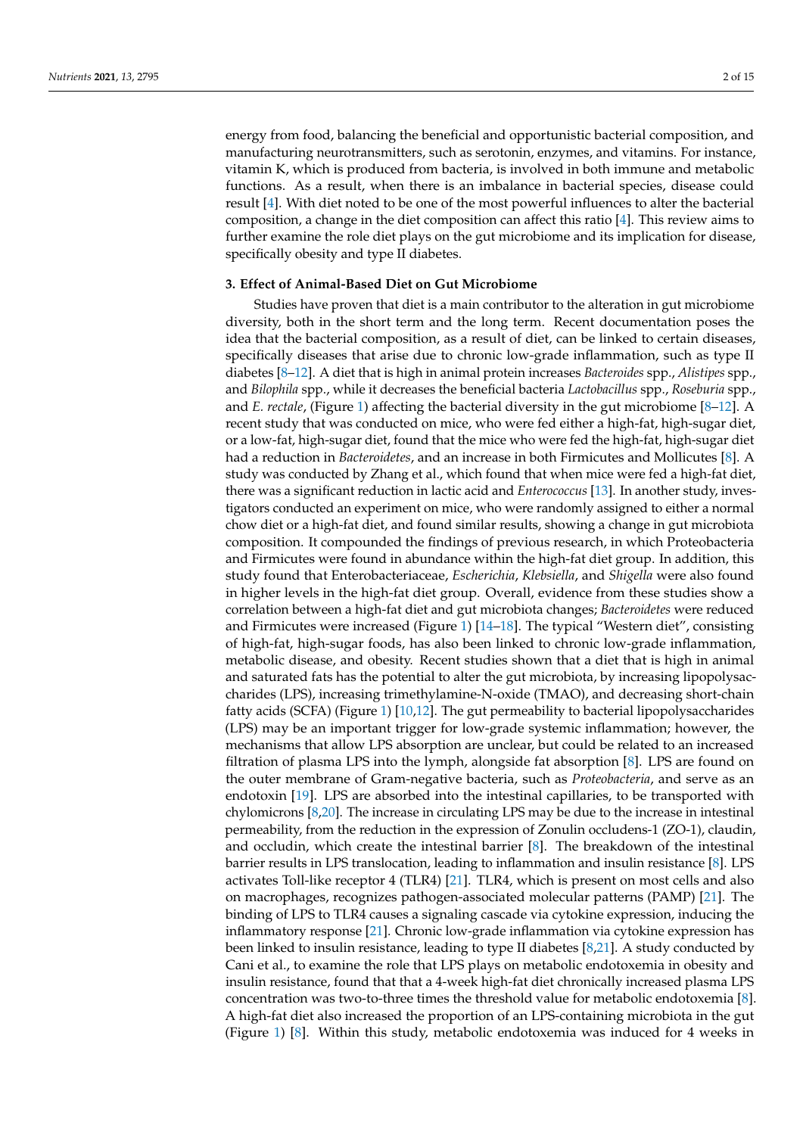energy from food, balancing the beneficial and opportunistic bacterial composition, and manufacturing neurotransmitters, such as serotonin, enzymes, and vitamins. For instance, vitamin K, which is produced from bacteria, is involved in both immune and metabolic functions. As a result, when there is an imbalance in bacterial species, disease could result [\[4\]](#page-10-3). With diet noted to be one of the most powerful influences to alter the bacterial composition, a change in the diet composition can affect this ratio [\[4\]](#page-10-3). This review aims to further examine the role diet plays on the gut microbiome and its implication for disease, specifically obesity and type II diabetes.

## **3. Effect of Animal-Based Diet on Gut Microbiome**

Studies have proven that diet is a main contributor to the alteration in gut microbiome diversity, both in the short term and the long term. Recent documentation poses the idea that the bacterial composition, as a result of diet, can be linked to certain diseases, specifically diseases that arise due to chronic low-grade inflammation, such as type II diabetes [\[8](#page-10-7)[–12\]](#page-10-8). A diet that is high in animal protein increases *Bacteroides* spp., *Alistipes* spp., and *Bilophila* spp., while it decreases the beneficial bacteria *Lactobacillus* spp., *Roseburia* spp., and *E. rectale*, (Figure [1\)](#page-3-0) affecting the bacterial diversity in the gut microbiome [\[8–](#page-10-7)[12\]](#page-10-8). A recent study that was conducted on mice, who were fed either a high-fat, high-sugar diet, or a low-fat, high-sugar diet, found that the mice who were fed the high-fat, high-sugar diet had a reduction in *Bacteroidetes*, and an increase in both Firmicutes and Mollicutes [\[8\]](#page-10-7). A study was conducted by Zhang et al., which found that when mice were fed a high-fat diet, there was a significant reduction in lactic acid and *Enterococcus* [\[13\]](#page-10-9). In another study, investigators conducted an experiment on mice, who were randomly assigned to either a normal chow diet or a high-fat diet, and found similar results, showing a change in gut microbiota composition. It compounded the findings of previous research, in which Proteobacteria and Firmicutes were found in abundance within the high-fat diet group. In addition, this study found that Enterobacteriaceae, *Escherichia*, *Klebsiella*, and *Shigella* were also found in higher levels in the high-fat diet group. Overall, evidence from these studies show a correlation between a high-fat diet and gut microbiota changes; *Bacteroidetes* were reduced and Firmicutes were increased (Figure [1\)](#page-3-0) [\[14–](#page-10-10)[18\]](#page-11-0). The typical "Western diet", consisting of high-fat, high-sugar foods, has also been linked to chronic low-grade inflammation, metabolic disease, and obesity. Recent studies shown that a diet that is high in animal and saturated fats has the potential to alter the gut microbiota, by increasing lipopolysaccharides (LPS), increasing trimethylamine-N-oxide (TMAO), and decreasing short-chain fatty acids (SCFA) (Figure [1\)](#page-3-0) [\[10,](#page-10-11)[12\]](#page-10-8). The gut permeability to bacterial lipopolysaccharides (LPS) may be an important trigger for low-grade systemic inflammation; however, the mechanisms that allow LPS absorption are unclear, but could be related to an increased filtration of plasma LPS into the lymph, alongside fat absorption [\[8\]](#page-10-7). LPS are found on the outer membrane of Gram-negative bacteria, such as *Proteobacteria*, and serve as an endotoxin [\[19\]](#page-11-1). LPS are absorbed into the intestinal capillaries, to be transported with chylomicrons [\[8,](#page-10-7)[20\]](#page-11-2). The increase in circulating LPS may be due to the increase in intestinal permeability, from the reduction in the expression of Zonulin occludens-1 (ZO-1), claudin, and occludin, which create the intestinal barrier [\[8\]](#page-10-7). The breakdown of the intestinal barrier results in LPS translocation, leading to inflammation and insulin resistance [\[8\]](#page-10-7). LPS activates Toll-like receptor 4 (TLR4) [\[21\]](#page-11-3). TLR4, which is present on most cells and also on macrophages, recognizes pathogen-associated molecular patterns (PAMP) [\[21\]](#page-11-3). The binding of LPS to TLR4 causes a signaling cascade via cytokine expression, inducing the inflammatory response [\[21\]](#page-11-3). Chronic low-grade inflammation via cytokine expression has been linked to insulin resistance, leading to type II diabetes [\[8,](#page-10-7)[21\]](#page-11-3). A study conducted by Cani et al., to examine the role that LPS plays on metabolic endotoxemia in obesity and insulin resistance, found that that a 4-week high-fat diet chronically increased plasma LPS concentration was two-to-three times the threshold value for metabolic endotoxemia [\[8\]](#page-10-7). A high-fat diet also increased the proportion of an LPS-containing microbiota in the gut (Figure [1\)](#page-3-0) [\[8\]](#page-10-7). Within this study, metabolic endotoxemia was induced for 4 weeks in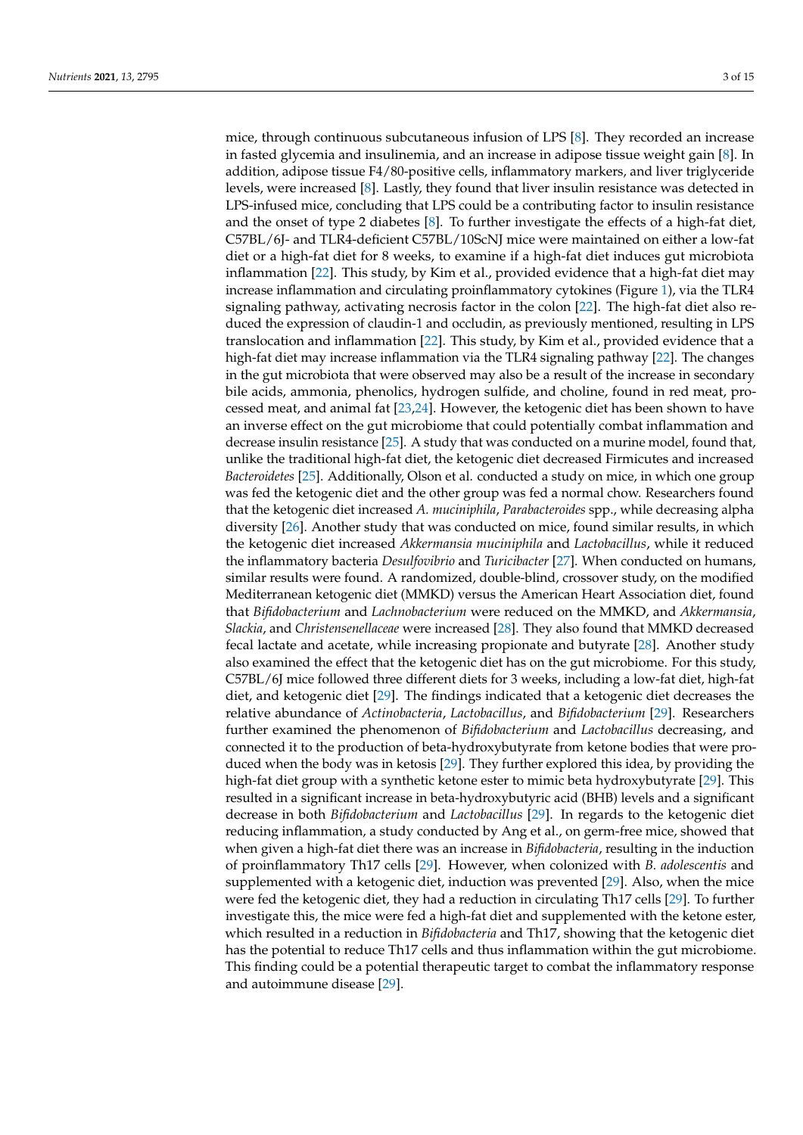mice, through continuous subcutaneous infusion of LPS [\[8\]](#page-10-7). They recorded an increase in fasted glycemia and insulinemia, and an increase in adipose tissue weight gain [\[8\]](#page-10-7). In addition, adipose tissue F4/80-positive cells, inflammatory markers, and liver triglyceride levels, were increased [\[8\]](#page-10-7). Lastly, they found that liver insulin resistance was detected in LPS-infused mice, concluding that LPS could be a contributing factor to insulin resistance and the onset of type 2 diabetes [\[8\]](#page-10-7). To further investigate the effects of a high-fat diet, C57BL/6J- and TLR4-deficient C57BL/10ScNJ mice were maintained on either a low-fat diet or a high-fat diet for 8 weeks, to examine if a high-fat diet induces gut microbiota inflammation [\[22\]](#page-11-4). This study, by Kim et al., provided evidence that a high-fat diet may increase inflammation and circulating proinflammatory cytokines (Figure [1\)](#page-3-0), via the TLR4 signaling pathway, activating necrosis factor in the colon [\[22\]](#page-11-4). The high-fat diet also reduced the expression of claudin-1 and occludin, as previously mentioned, resulting in LPS translocation and inflammation [\[22\]](#page-11-4). This study, by Kim et al., provided evidence that a high-fat diet may increase inflammation via the TLR4 signaling pathway [\[22\]](#page-11-4). The changes in the gut microbiota that were observed may also be a result of the increase in secondary bile acids, ammonia, phenolics, hydrogen sulfide, and choline, found in red meat, processed meat, and animal fat [\[23,](#page-11-5)[24\]](#page-11-6). However, the ketogenic diet has been shown to have an inverse effect on the gut microbiome that could potentially combat inflammation and decrease insulin resistance [\[25\]](#page-11-7). A study that was conducted on a murine model, found that, unlike the traditional high-fat diet, the ketogenic diet decreased Firmicutes and increased *Bacteroidetes* [\[25\]](#page-11-7). Additionally, Olson et al. conducted a study on mice, in which one group was fed the ketogenic diet and the other group was fed a normal chow. Researchers found that the ketogenic diet increased *A. muciniphila*, *Parabacteroides* spp., while decreasing alpha diversity [\[26\]](#page-11-8). Another study that was conducted on mice, found similar results, in which the ketogenic diet increased *Akkermansia muciniphila* and *Lactobacillus*, while it reduced the inflammatory bacteria *Desulfovibrio* and *Turicibacter* [\[27\]](#page-11-9). When conducted on humans, similar results were found. A randomized, double-blind, crossover study, on the modified Mediterranean ketogenic diet (MMKD) versus the American Heart Association diet, found that *Bifidobacterium* and *Lachnobacterium* were reduced on the MMKD, and *Akkermansia*, *Slackia*, and *Christensenellaceae* were increased [\[28\]](#page-11-10). They also found that MMKD decreased fecal lactate and acetate, while increasing propionate and butyrate [\[28\]](#page-11-10). Another study also examined the effect that the ketogenic diet has on the gut microbiome. For this study, C57BL/6J mice followed three different diets for 3 weeks, including a low-fat diet, high-fat diet, and ketogenic diet [\[29\]](#page-11-11). The findings indicated that a ketogenic diet decreases the relative abundance of *Actinobacteria*, *Lactobacillus*, and *Bifidobacterium* [\[29\]](#page-11-11). Researchers further examined the phenomenon of *Bifidobacterium* and *Lactobacillus* decreasing, and connected it to the production of beta-hydroxybutyrate from ketone bodies that were produced when the body was in ketosis [\[29\]](#page-11-11). They further explored this idea, by providing the high-fat diet group with a synthetic ketone ester to mimic beta hydroxybutyrate [\[29\]](#page-11-11). This resulted in a significant increase in beta-hydroxybutyric acid (BHB) levels and a significant decrease in both *Bifidobacterium* and *Lactobacillus* [\[29\]](#page-11-11). In regards to the ketogenic diet reducing inflammation, a study conducted by Ang et al., on germ-free mice, showed that when given a high-fat diet there was an increase in *Bifidobacteria*, resulting in the induction of proinflammatory Th17 cells [\[29\]](#page-11-11). However, when colonized with *B. adolescentis* and supplemented with a ketogenic diet, induction was prevented [\[29\]](#page-11-11). Also, when the mice were fed the ketogenic diet, they had a reduction in circulating Th17 cells [\[29\]](#page-11-11). To further investigate this, the mice were fed a high-fat diet and supplemented with the ketone ester, which resulted in a reduction in *Bifidobacteria* and Th17, showing that the ketogenic diet has the potential to reduce Th17 cells and thus inflammation within the gut microbiome. This finding could be a potential therapeutic target to combat the inflammatory response and autoimmune disease [\[29\]](#page-11-11).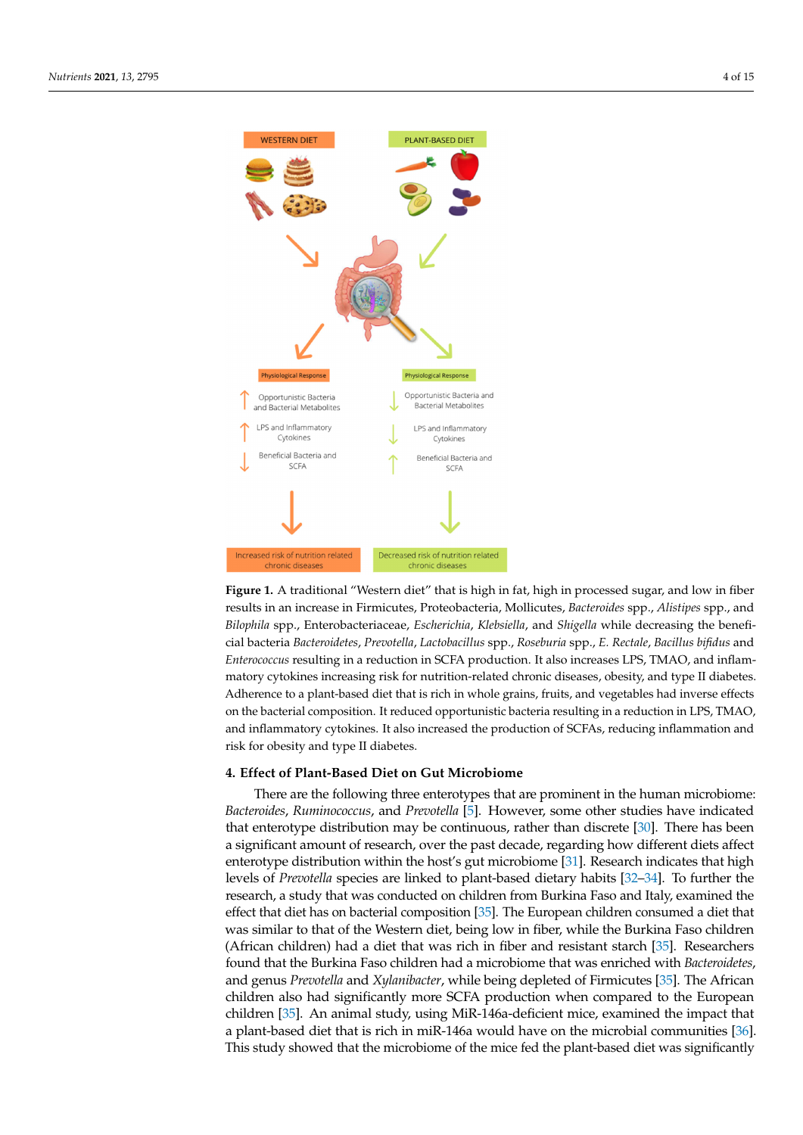<span id="page-3-0"></span>

**Figure 1.** A traditional "Western diet" that is high in fat, high in processed sugar, and low in fiber **Figure 1.** A traditional "Western diet" that is high in fat, high in processed sugar, and low in fiber results in an increase in Firmicutes, Proteobacteria, Mollicutes, Bacteroides spp., Alistipes spp., and Bilophila spp., Enterobacteriaceae, Escherichia, Klebsiella, and Shigella while decreasing the beneficial bacteria Bacteroidetes, Prevotella, Lactobacillus spp., Roseburia spp., E. Rectale, Bacillus bifidus and *Enterococcus* resulting in a reduction in SCFA production. It also increases LPS, TMAO, and inflammatory cytokines increasing risk for nutrition-related chronic diseases, obesity, and type II diabetes. ence to a plant-based diet to a plant-based diet that is rich in whole grains  $\frac{1}{2}$  and  $\frac{1}{2}$  and  $\frac{1}{2}$  and  $\frac{1}{2}$  and  $\frac{1}{2}$  and  $\frac{1}{2}$  and  $\frac{1}{2}$  and  $\frac{1}{2}$  and  $\frac{1}{2}$  and  $\frac{1}{2}$  and  $\frac{$ Adherence to a plant-based diet that is rich in whole grains, fruits, and vegetables had inverse effects in LPS, TMAO, TMAO, TMAO, TMAO, TMAO, TMAO, TMAO, TMAO, TMAO, TMAO, TMAO, TMAO, TMAO, TMAO, TMAO, TMAO, TMAO, TMAO, T on the bacterial composition. It reduced opportunistic bacteria resulting in a reduction in LPS, TMAO, and inflammatory cytokines. It also increased the production of SCFAs, reducing inflammation and risk for obesity and type II diabetes.

Decreased risk of nutrition related

chronic disease

# **4. Effect of Plant-Based Diet on Gut Microbiome 4. Effect of Plant-Based Diet on Gut Microbiome**

Increased risk of nutrition related

chronic disease

There are the following three enterotypes that are prominent in the human microbiome: ome: *Bacteroides*, *Ruminococcus*, and *Prevotella* [5]. However, some other studies have indi-*Bacteroides*, *Ruminococcus*, and *Prevotella* [\[5\]](#page-10-4). However, some other studies have indicated that enterotype distribution may be continuous, rather than discrete [\[30\]](#page-11-12). There has been a significant amount of research, over the past decade, regarding how different diets affect enterotype distribution within the host's gut microbiome [\[31\]](#page-11-13). Research indicates that high levels of *Prevotella* species are linked to plant-based dietary habits [\[32–](#page-11-14)[34\]](#page-11-15). To further the research, a study that was conducted on children from Burkina Faso and Italy, examined the effect that diet has on bacterial composition [\[35\]](#page-11-16). The European children consumed a diet that was similar to that of the Western diet, being low in fiber, while the Burkina Faso children (African children) had a diet that was rich in fiber and resistant starch  $[35]$ . Researchers found that the Burkina Faso children had a microbiome that was enriched with *Bacteroidetes*, and genus *Prevotella* and *Xylanibacter*, while being depleted of Firmicutes [\[35\]](#page-11-16). The African children also had significantly more SCFA production when compared to the European children [\[35\]](#page-11-16). An animal study, using MiR-146a-deficient mice, examined the impact that a plant-based diet that is rich in miR-146a would have on [the](#page-11-17) microbial communities [36]. This study showed that the microbiome of the mice fed the plant-based diet was significantly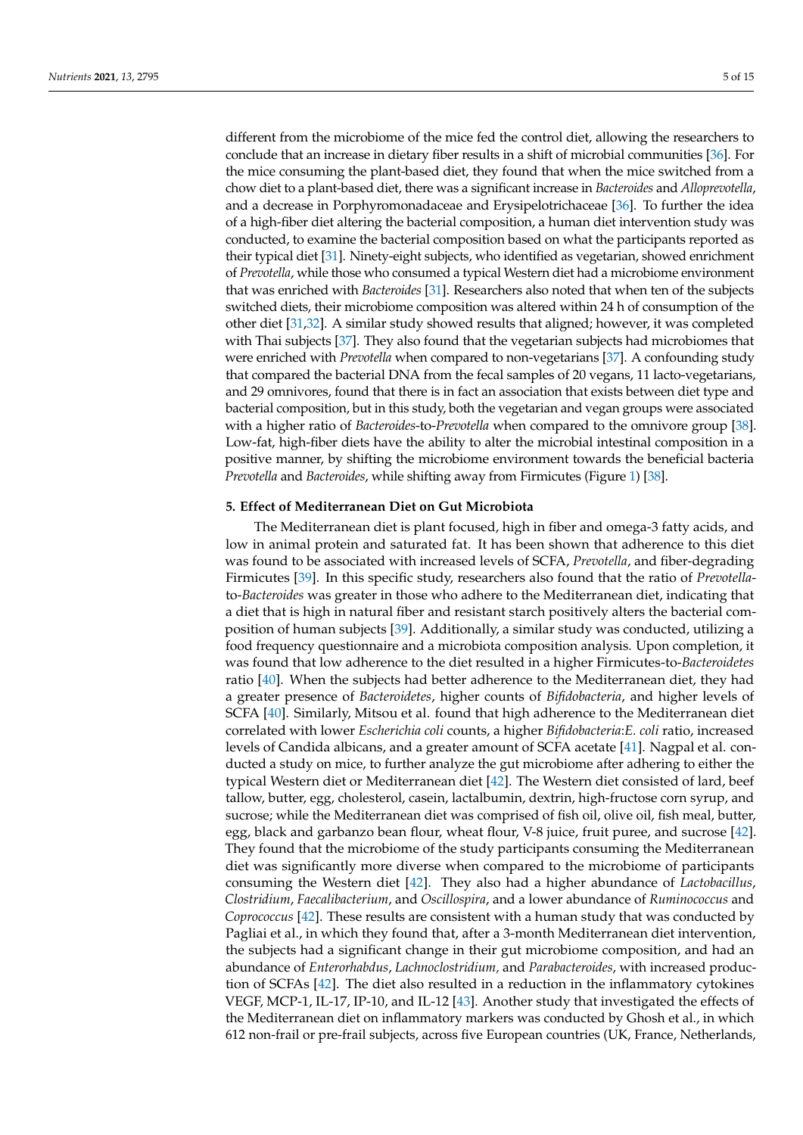different from the microbiome of the mice fed the control diet, allowing the researchers to conclude that an increase in dietary fiber results in a shift of microbial communities [\[36\]](#page-11-17). For the mice consuming the plant-based diet, they found that when the mice switched from a chow diet to a plant-based diet, there was a significant increase in *Bacteroides* and *Alloprevotella*, and a decrease in Porphyromonadaceae and Erysipelotrichaceae [\[36\]](#page-11-17). To further the idea of a high-fiber diet altering the bacterial composition, a human diet intervention study was conducted, to examine the bacterial composition based on what the participants reported as their typical diet [\[31\]](#page-11-13). Ninety-eight subjects, who identified as vegetarian, showed enrichment of *Prevotella*, while those who consumed a typical Western diet had a microbiome environment that was enriched with *Bacteroides* [\[31\]](#page-11-13). Researchers also noted that when ten of the subjects switched diets, their microbiome composition was altered within 24 h of consumption of the other diet [\[31](#page-11-13)[,32\]](#page-11-14). A similar study showed results that aligned; however, it was completed with Thai subjects [\[37\]](#page-11-18). They also found that the vegetarian subjects had microbiomes that were enriched with *Prevotella* when compared to non-vegetarians [\[37\]](#page-11-18). A confounding study that compared the bacterial DNA from the fecal samples of 20 vegans, 11 lacto-vegetarians, and 29 omnivores, found that there is in fact an association that exists between diet type and bacterial composition, but in this study, both the vegetarian and vegan groups were associated with a higher ratio of *Bacteroides*-to-*Prevotella* when compared to the omnivore group [\[38\]](#page-11-19). Low-fat, high-fiber diets have the ability to alter the microbial intestinal composition in a positive manner, by shifting the microbiome environment towards the beneficial bacteria *Prevotella* and *Bacteroides*, while shifting away from Firmicutes (Figure [1\)](#page-3-0) [\[38\]](#page-11-19).

## **5. Effect of Mediterranean Diet on Gut Microbiota**

The Mediterranean diet is plant focused, high in fiber and omega-3 fatty acids, and low in animal protein and saturated fat. It has been shown that adherence to this diet was found to be associated with increased levels of SCFA, *Prevotella*, and fiber-degrading Firmicutes [\[39\]](#page-11-20). In this specific study, researchers also found that the ratio of *Prevotella*to-*Bacteroides* was greater in those who adhere to the Mediterranean diet, indicating that a diet that is high in natural fiber and resistant starch positively alters the bacterial composition of human subjects [\[39\]](#page-11-20). Additionally, a similar study was conducted, utilizing a food frequency questionnaire and a microbiota composition analysis. Upon completion, it was found that low adherence to the diet resulted in a higher Firmicutes-to-*Bacteroidetes* ratio [\[40\]](#page-11-21). When the subjects had better adherence to the Mediterranean diet, they had a greater presence of *Bacteroidetes*, higher counts of *Bifidobacteria*, and higher levels of SCFA [\[40\]](#page-11-21). Similarly, Mitsou et al. found that high adherence to the Mediterranean diet correlated with lower *Escherichia coli* counts, a higher *Bifidobacteria*:*E. coli* ratio, increased levels of Candida albicans, and a greater amount of SCFA acetate [\[41\]](#page-11-22). Nagpal et al. conducted a study on mice, to further analyze the gut microbiome after adhering to either the typical Western diet or Mediterranean diet [\[42\]](#page-12-0). The Western diet consisted of lard, beef tallow, butter, egg, cholesterol, casein, lactalbumin, dextrin, high-fructose corn syrup, and sucrose; while the Mediterranean diet was comprised of fish oil, olive oil, fish meal, butter, egg, black and garbanzo bean flour, wheat flour, V-8 juice, fruit puree, and sucrose [\[42\]](#page-12-0). They found that the microbiome of the study participants consuming the Mediterranean diet was significantly more diverse when compared to the microbiome of participants consuming the Western diet [\[42\]](#page-12-0). They also had a higher abundance of *Lactobacillus*, *Clostridium*, *Faecalibacterium*, and *Oscillospira*, and a lower abundance of *Ruminococcus* and *Coprococcus* [\[42\]](#page-12-0). These results are consistent with a human study that was conducted by Pagliai et al., in which they found that, after a 3-month Mediterranean diet intervention, the subjects had a significant change in their gut microbiome composition, and had an abundance of *Enterorhabdus*, *Lachnoclostridium,* and *Parabacteroides*, with increased production of SCFAs [\[42\]](#page-12-0). The diet also resulted in a reduction in the inflammatory cytokines VEGF, MCP-1, IL-17, IP-10, and IL-12 [\[43\]](#page-12-1). Another study that investigated the effects of the Mediterranean diet on inflammatory markers was conducted by Ghosh et al., in which 612 non-frail or pre-frail subjects, across five European countries (UK, France, Netherlands,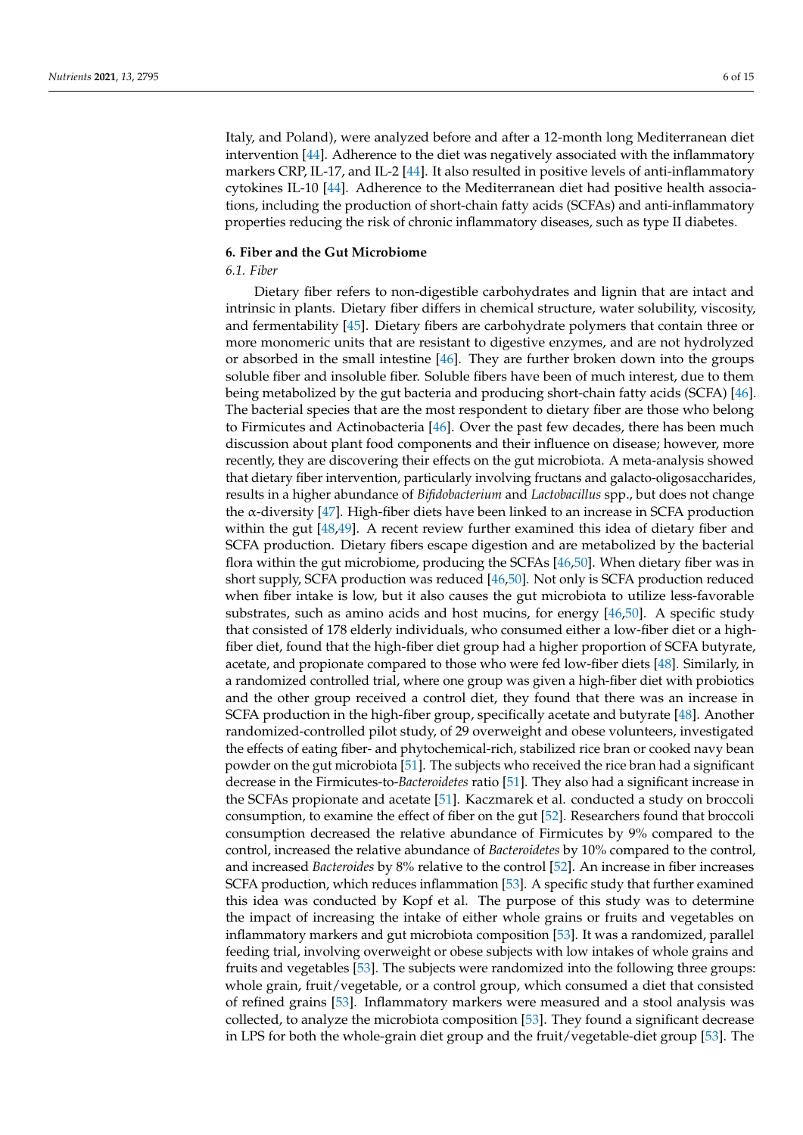Italy, and Poland), were analyzed before and after a 12-month long Mediterranean diet intervention [\[44\]](#page-12-2). Adherence to the diet was negatively associated with the inflammatory markers CRP, IL-17, and IL-2 [\[44\]](#page-12-2). It also resulted in positive levels of anti-inflammatory cytokines IL-10 [\[44\]](#page-12-2). Adherence to the Mediterranean diet had positive health associations, including the production of short-chain fatty acids (SCFAs) and anti-inflammatory properties reducing the risk of chronic inflammatory diseases, such as type II diabetes.

## **6. Fiber and the Gut Microbiome**

## *6.1. Fiber*

Dietary fiber refers to non-digestible carbohydrates and lignin that are intact and intrinsic in plants. Dietary fiber differs in chemical structure, water solubility, viscosity, and fermentability [\[45\]](#page-12-3). Dietary fibers are carbohydrate polymers that contain three or more monomeric units that are resistant to digestive enzymes, and are not hydrolyzed or absorbed in the small intestine [\[46\]](#page-12-4). They are further broken down into the groups soluble fiber and insoluble fiber. Soluble fibers have been of much interest, due to them being metabolized by the gut bacteria and producing short-chain fatty acids (SCFA) [\[46\]](#page-12-4). The bacterial species that are the most respondent to dietary fiber are those who belong to Firmicutes and Actinobacteria [\[46\]](#page-12-4). Over the past few decades, there has been much discussion about plant food components and their influence on disease; however, more recently, they are discovering their effects on the gut microbiota. A meta-analysis showed that dietary fiber intervention, particularly involving fructans and galacto-oligosaccharides, results in a higher abundance of *Bifidobacterium* and *Lactobacillus* spp., but does not change the α-diversity [\[47\]](#page-12-5). High-fiber diets have been linked to an increase in SCFA production within the gut  $[48,49]$  $[48,49]$ . A recent review further examined this idea of dietary fiber and SCFA production. Dietary fibers escape digestion and are metabolized by the bacterial flora within the gut microbiome, producing the SCFAs [\[46](#page-12-4)[,50\]](#page-12-8). When dietary fiber was in short supply, SCFA production was reduced [\[46](#page-12-4)[,50\]](#page-12-8). Not only is SCFA production reduced when fiber intake is low, but it also causes the gut microbiota to utilize less-favorable substrates, such as amino acids and host mucins, for energy [\[46,](#page-12-4)[50\]](#page-12-8). A specific study that consisted of 178 elderly individuals, who consumed either a low-fiber diet or a highfiber diet, found that the high-fiber diet group had a higher proportion of SCFA butyrate, acetate, and propionate compared to those who were fed low-fiber diets [\[48\]](#page-12-6). Similarly, in a randomized controlled trial, where one group was given a high-fiber diet with probiotics and the other group received a control diet, they found that there was an increase in SCFA production in the high-fiber group, specifically acetate and butyrate [\[48\]](#page-12-6). Another randomized-controlled pilot study, of 29 overweight and obese volunteers, investigated the effects of eating fiber- and phytochemical-rich, stabilized rice bran or cooked navy bean powder on the gut microbiota [\[51\]](#page-12-9). The subjects who received the rice bran had a significant decrease in the Firmicutes-to-*Bacteroidetes* ratio [\[51\]](#page-12-9). They also had a significant increase in the SCFAs propionate and acetate [\[51\]](#page-12-9). Kaczmarek et al. conducted a study on broccoli consumption, to examine the effect of fiber on the gut [\[52\]](#page-12-10). Researchers found that broccoli consumption decreased the relative abundance of Firmicutes by 9% compared to the control, increased the relative abundance of *Bacteroidetes* by 10% compared to the control, and increased *Bacteroides* by 8% relative to the control [\[52\]](#page-12-10). An increase in fiber increases SCFA production, which reduces inflammation [\[53\]](#page-12-11). A specific study that further examined this idea was conducted by Kopf et al. The purpose of this study was to determine the impact of increasing the intake of either whole grains or fruits and vegetables on inflammatory markers and gut microbiota composition [\[53\]](#page-12-11). It was a randomized, parallel feeding trial, involving overweight or obese subjects with low intakes of whole grains and fruits and vegetables [\[53\]](#page-12-11). The subjects were randomized into the following three groups: whole grain, fruit/vegetable, or a control group, which consumed a diet that consisted of refined grains [\[53\]](#page-12-11). Inflammatory markers were measured and a stool analysis was collected, to analyze the microbiota composition [\[53\]](#page-12-11). They found a significant decrease in LPS for both the whole-grain diet group and the fruit/vegetable-diet group [\[53\]](#page-12-11). The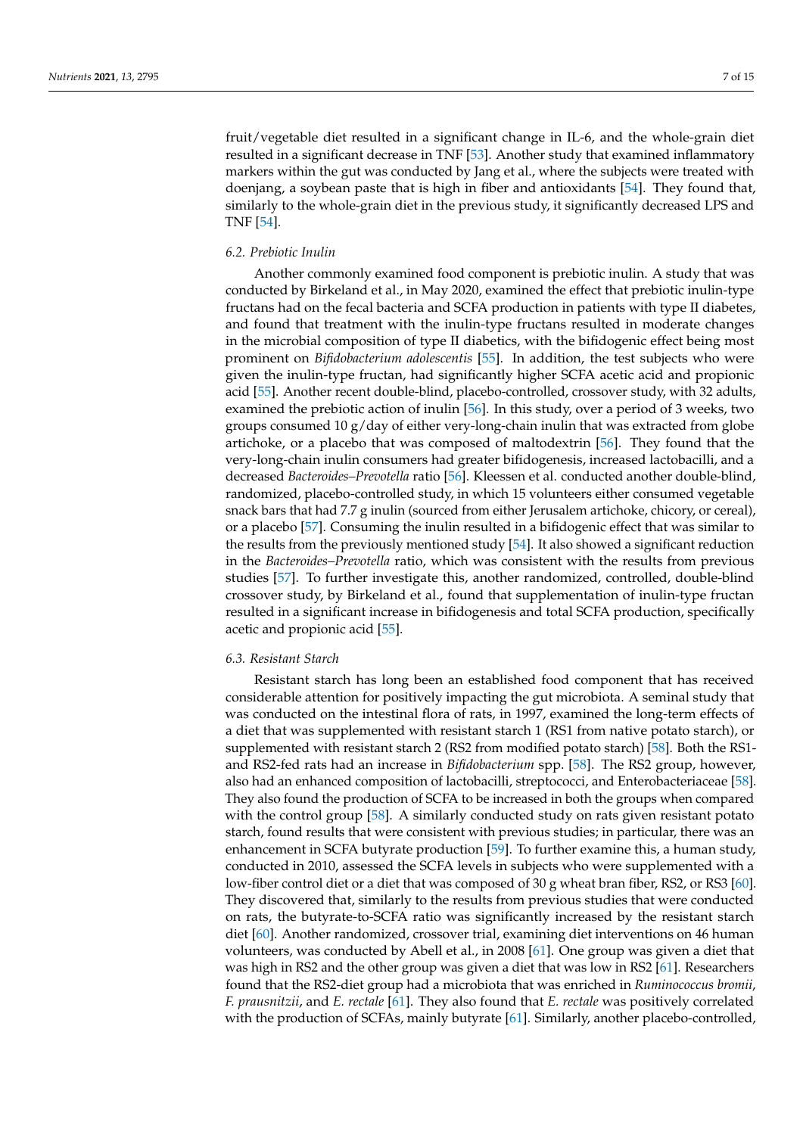fruit/vegetable diet resulted in a significant change in IL-6, and the whole-grain diet resulted in a significant decrease in TNF [\[53\]](#page-12-11). Another study that examined inflammatory markers within the gut was conducted by Jang et al., where the subjects were treated with doenjang, a soybean paste that is high in fiber and antioxidants [\[54\]](#page-12-12). They found that, similarly to the whole-grain diet in the previous study, it significantly decreased LPS and TNF [\[54\]](#page-12-12).

## *6.2. Prebiotic Inulin*

Another commonly examined food component is prebiotic inulin. A study that was conducted by Birkeland et al., in May 2020, examined the effect that prebiotic inulin-type fructans had on the fecal bacteria and SCFA production in patients with type II diabetes, and found that treatment with the inulin-type fructans resulted in moderate changes in the microbial composition of type II diabetics, with the bifidogenic effect being most prominent on *Bifidobacterium adolescentis* [\[55\]](#page-12-13). In addition, the test subjects who were given the inulin-type fructan, had significantly higher SCFA acetic acid and propionic acid [\[55\]](#page-12-13). Another recent double-blind, placebo-controlled, crossover study, with 32 adults, examined the prebiotic action of inulin [\[56\]](#page-12-14). In this study, over a period of 3 weeks, two groups consumed 10 g/day of either very-long-chain inulin that was extracted from globe artichoke, or a placebo that was composed of maltodextrin [\[56\]](#page-12-14). They found that the very-long-chain inulin consumers had greater bifidogenesis, increased lactobacilli, and a decreased *Bacteroides–Prevotella* ratio [\[56\]](#page-12-14). Kleessen et al. conducted another double-blind, randomized, placebo-controlled study, in which 15 volunteers either consumed vegetable snack bars that had 7.7 g inulin (sourced from either Jerusalem artichoke, chicory, or cereal), or a placebo [\[57\]](#page-12-15). Consuming the inulin resulted in a bifidogenic effect that was similar to the results from the previously mentioned study [\[54\]](#page-12-12). It also showed a significant reduction in the *Bacteroides–Prevotella* ratio, which was consistent with the results from previous studies [\[57\]](#page-12-15). To further investigate this, another randomized, controlled, double-blind crossover study, by Birkeland et al., found that supplementation of inulin-type fructan resulted in a significant increase in bifidogenesis and total SCFA production, specifically acetic and propionic acid [\[55\]](#page-12-13).

#### *6.3. Resistant Starch*

Resistant starch has long been an established food component that has received considerable attention for positively impacting the gut microbiota. A seminal study that was conducted on the intestinal flora of rats, in 1997, examined the long-term effects of a diet that was supplemented with resistant starch 1 (RS1 from native potato starch), or supplemented with resistant starch 2 (RS2 from modified potato starch) [\[58\]](#page-12-16). Both the RS1 and RS2-fed rats had an increase in *Bifidobacterium* spp. [\[58\]](#page-12-16). The RS2 group, however, also had an enhanced composition of lactobacilli, streptococci, and Enterobacteriaceae [\[58\]](#page-12-16). They also found the production of SCFA to be increased in both the groups when compared with the control group [\[58\]](#page-12-16). A similarly conducted study on rats given resistant potato starch, found results that were consistent with previous studies; in particular, there was an enhancement in SCFA butyrate production [\[59\]](#page-12-17). To further examine this, a human study, conducted in 2010, assessed the SCFA levels in subjects who were supplemented with a low-fiber control diet or a diet that was composed of 30 g wheat bran fiber, RS2, or RS3 [\[60\]](#page-12-18). They discovered that, similarly to the results from previous studies that were conducted on rats, the butyrate-to-SCFA ratio was significantly increased by the resistant starch diet [\[60\]](#page-12-18). Another randomized, crossover trial, examining diet interventions on 46 human volunteers, was conducted by Abell et al., in 2008 [\[61\]](#page-12-19). One group was given a diet that was high in RS2 and the other group was given a diet that was low in RS2 [\[61\]](#page-12-19). Researchers found that the RS2-diet group had a microbiota that was enriched in *Ruminococcus bromii*, *F. prausnitzii*, and *E. rectale* [\[61\]](#page-12-19). They also found that *E. rectale* was positively correlated with the production of SCFAs, mainly butyrate [\[61\]](#page-12-19). Similarly, another placebo-controlled,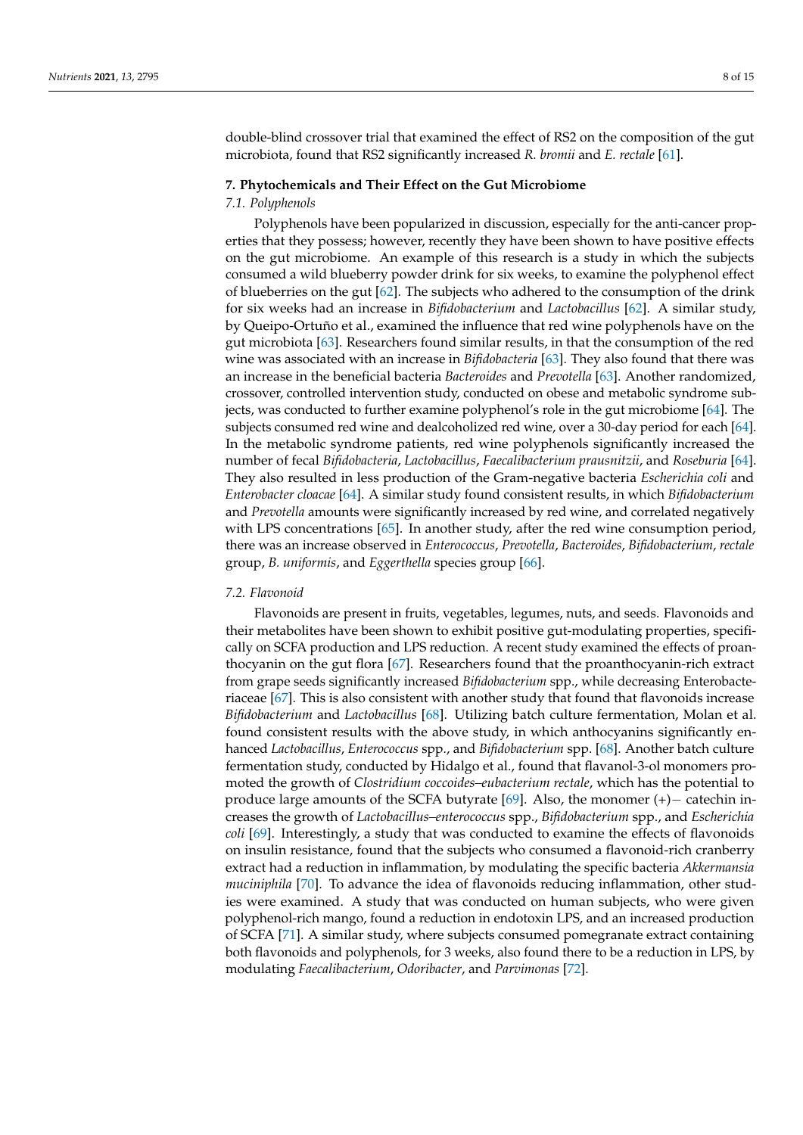double-blind crossover trial that examined the effect of RS2 on the composition of the gut microbiota, found that RS2 significantly increased *R. bromii* and *E. rectale* [\[61\]](#page-12-19).

## **7. Phytochemicals and Their Effect on the Gut Microbiome**

#### *7.1. Polyphenols*

Polyphenols have been popularized in discussion, especially for the anti-cancer properties that they possess; however, recently they have been shown to have positive effects on the gut microbiome. An example of this research is a study in which the subjects consumed a wild blueberry powder drink for six weeks, to examine the polyphenol effect of blueberries on the gut [\[62\]](#page-12-20). The subjects who adhered to the consumption of the drink for six weeks had an increase in *Bifidobacterium* and *Lactobacillus* [\[62\]](#page-12-20). A similar study, by Queipo-Ortuño et al., examined the influence that red wine polyphenols have on the gut microbiota [\[63\]](#page-12-21). Researchers found similar results, in that the consumption of the red wine was associated with an increase in *Bifidobacteria* [\[63\]](#page-12-21). They also found that there was an increase in the beneficial bacteria *Bacteroides* and *Prevotella* [\[63\]](#page-12-21). Another randomized, crossover, controlled intervention study, conducted on obese and metabolic syndrome subjects, was conducted to further examine polyphenol's role in the gut microbiome [\[64\]](#page-12-22). The subjects consumed red wine and dealcoholized red wine, over a 30-day period for each [\[64\]](#page-12-22). In the metabolic syndrome patients, red wine polyphenols significantly increased the number of fecal *Bifidobacteria*, *Lactobacillus*, *Faecalibacterium prausnitzii*, and *Roseburia* [\[64\]](#page-12-22). They also resulted in less production of the Gram-negative bacteria *Escherichia coli* and *Enterobacter cloacae* [\[64\]](#page-12-22). A similar study found consistent results, in which *Bifidobacterium* and *Prevotella* amounts were significantly increased by red wine, and correlated negatively with LPS concentrations [\[65\]](#page-13-0). In another study, after the red wine consumption period, there was an increase observed in *Enterococcus*, *Prevotella*, *Bacteroides*, *Bifidobacterium*, *rectale* group, *B. uniformis*, and *Eggerthella* species group [\[66\]](#page-13-1).

#### *7.2. Flavonoid*

Flavonoids are present in fruits, vegetables, legumes, nuts, and seeds. Flavonoids and their metabolites have been shown to exhibit positive gut-modulating properties, specifically on SCFA production and LPS reduction. A recent study examined the effects of proanthocyanin on the gut flora [\[67\]](#page-13-2). Researchers found that the proanthocyanin-rich extract from grape seeds significantly increased *Bifidobacterium* spp., while decreasing Enterobacteriaceae [\[67\]](#page-13-2). This is also consistent with another study that found that flavonoids increase *Bifidobacterium* and *Lactobacillus* [\[68\]](#page-13-3). Utilizing batch culture fermentation, Molan et al. found consistent results with the above study, in which anthocyanins significantly enhanced *Lactobacillus*, *Enterococcus* spp., and *Bifidobacterium* spp. [\[68\]](#page-13-3). Another batch culture fermentation study, conducted by Hidalgo et al., found that flavanol-3-ol monomers promoted the growth of *Clostridium coccoides–eubacterium rectale*, which has the potential to produce large amounts of the SCFA butyrate [\[69\]](#page-13-4). Also, the monomer (+)− catechin increases the growth of *Lactobacillus–enterococcus* spp., *Bifidobacterium* spp., and *Escherichia coli* [\[69\]](#page-13-4). Interestingly, a study that was conducted to examine the effects of flavonoids on insulin resistance, found that the subjects who consumed a flavonoid-rich cranberry extract had a reduction in inflammation, by modulating the specific bacteria *Akkermansia muciniphila* [\[70\]](#page-13-5). To advance the idea of flavonoids reducing inflammation, other studies were examined. A study that was conducted on human subjects, who were given polyphenol-rich mango, found a reduction in endotoxin LPS, and an increased production of SCFA [\[71\]](#page-13-6). A similar study, where subjects consumed pomegranate extract containing both flavonoids and polyphenols, for 3 weeks, also found there to be a reduction in LPS, by modulating *Faecalibacterium*, *Odoribacter*, and *Parvimonas* [\[72\]](#page-13-7).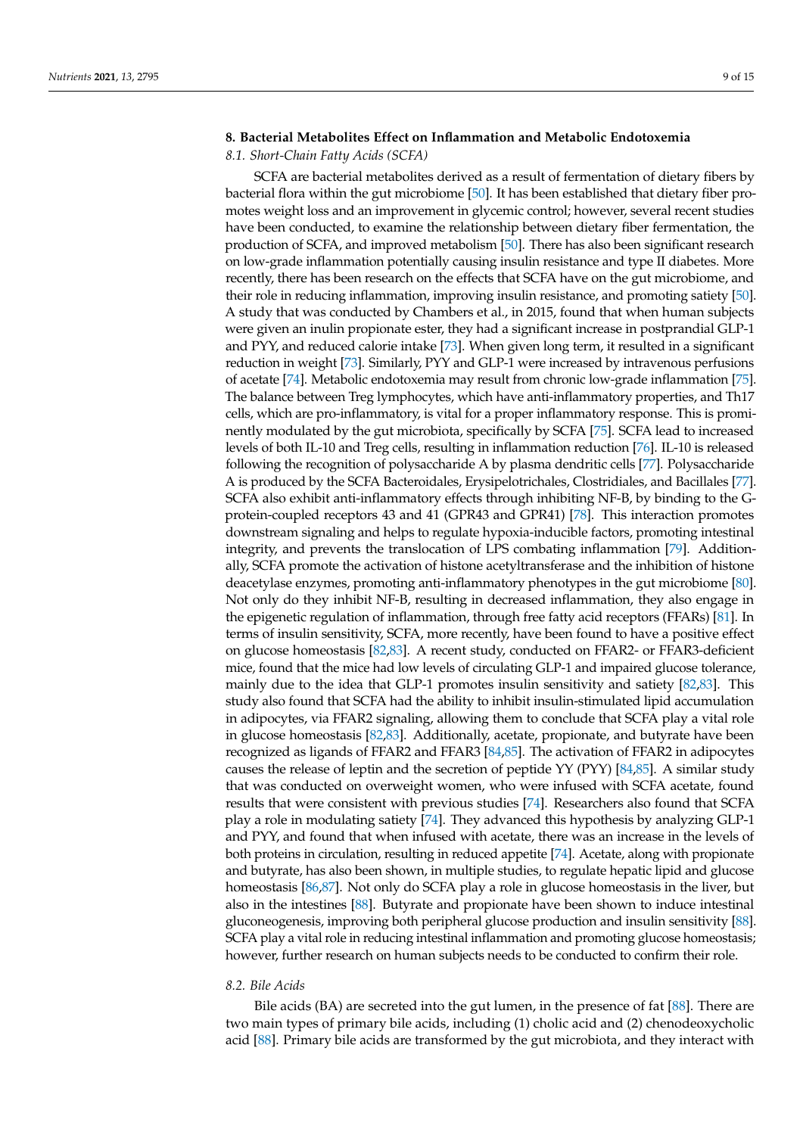## **8. Bacterial Metabolites Effect on Inflammation and Metabolic Endotoxemia**

#### *8.1. Short-Chain Fatty Acids (SCFA)*

SCFA are bacterial metabolites derived as a result of fermentation of dietary fibers by bacterial flora within the gut microbiome [\[50\]](#page-12-8). It has been established that dietary fiber promotes weight loss and an improvement in glycemic control; however, several recent studies have been conducted, to examine the relationship between dietary fiber fermentation, the production of SCFA, and improved metabolism [\[50\]](#page-12-8). There has also been significant research on low-grade inflammation potentially causing insulin resistance and type II diabetes. More recently, there has been research on the effects that SCFA have on the gut microbiome, and their role in reducing inflammation, improving insulin resistance, and promoting satiety [\[50\]](#page-12-8). A study that was conducted by Chambers et al., in 2015, found that when human subjects were given an inulin propionate ester, they had a significant increase in postprandial GLP-1 and PYY, and reduced calorie intake [\[73\]](#page-13-8). When given long term, it resulted in a significant reduction in weight [\[73\]](#page-13-8). Similarly, PYY and GLP-1 were increased by intravenous perfusions of acetate [\[74\]](#page-13-9). Metabolic endotoxemia may result from chronic low-grade inflammation [\[75\]](#page-13-10). The balance between Treg lymphocytes, which have anti-inflammatory properties, and Th17 cells, which are pro-inflammatory, is vital for a proper inflammatory response. This is prominently modulated by the gut microbiota, specifically by SCFA [\[75\]](#page-13-10). SCFA lead to increased levels of both IL-10 and Treg cells, resulting in inflammation reduction [\[76\]](#page-13-11). IL-10 is released following the recognition of polysaccharide A by plasma dendritic cells [\[77\]](#page-13-12). Polysaccharide A is produced by the SCFA Bacteroidales, Erysipelotrichales, Clostridiales, and Bacillales [\[77\]](#page-13-12). SCFA also exhibit anti-inflammatory effects through inhibiting NF-B, by binding to the Gprotein-coupled receptors 43 and 41 (GPR43 and GPR41) [\[78\]](#page-13-13). This interaction promotes downstream signaling and helps to regulate hypoxia-inducible factors, promoting intestinal integrity, and prevents the translocation of LPS combating inflammation [\[79\]](#page-13-14). Additionally, SCFA promote the activation of histone acetyltransferase and the inhibition of histone deacetylase enzymes, promoting anti-inflammatory phenotypes in the gut microbiome [\[80\]](#page-13-15). Not only do they inhibit NF-B, resulting in decreased inflammation, they also engage in the epigenetic regulation of inflammation, through free fatty acid receptors (FFARs) [\[81\]](#page-13-16). In terms of insulin sensitivity, SCFA, more recently, have been found to have a positive effect on glucose homeostasis [\[82,](#page-13-17)[83\]](#page-13-18). A recent study, conducted on FFAR2- or FFAR3-deficient mice, found that the mice had low levels of circulating GLP-1 and impaired glucose tolerance, mainly due to the idea that GLP-1 promotes insulin sensitivity and satiety [\[82](#page-13-17)[,83\]](#page-13-18). This study also found that SCFA had the ability to inhibit insulin-stimulated lipid accumulation in adipocytes, via FFAR2 signaling, allowing them to conclude that SCFA play a vital role in glucose homeostasis [\[82](#page-13-17)[,83\]](#page-13-18). Additionally, acetate, propionate, and butyrate have been recognized as ligands of FFAR2 and FFAR3 [\[84](#page-13-19)[,85\]](#page-13-20). The activation of FFAR2 in adipocytes causes the release of leptin and the secretion of peptide YY (PYY) [\[84](#page-13-19)[,85\]](#page-13-20). A similar study that was conducted on overweight women, who were infused with SCFA acetate, found results that were consistent with previous studies [\[74\]](#page-13-9). Researchers also found that SCFA play a role in modulating satiety [\[74\]](#page-13-9). They advanced this hypothesis by analyzing GLP-1 and PYY, and found that when infused with acetate, there was an increase in the levels of both proteins in circulation, resulting in reduced appetite [\[74\]](#page-13-9). Acetate, along with propionate and butyrate, has also been shown, in multiple studies, to regulate hepatic lipid and glucose homeostasis [\[86](#page-14-0)[,87\]](#page-14-1). Not only do SCFA play a role in glucose homeostasis in the liver, but also in the intestines [\[88\]](#page-14-2). Butyrate and propionate have been shown to induce intestinal gluconeogenesis, improving both peripheral glucose production and insulin sensitivity [\[88\]](#page-14-2). SCFA play a vital role in reducing intestinal inflammation and promoting glucose homeostasis; however, further research on human subjects needs to be conducted to confirm their role.

## *8.2. Bile Acids*

Bile acids (BA) are secreted into the gut lumen, in the presence of fat [\[88\]](#page-14-2). There are two main types of primary bile acids, including (1) cholic acid and (2) chenodeoxycholic acid [\[88\]](#page-14-2). Primary bile acids are transformed by the gut microbiota, and they interact with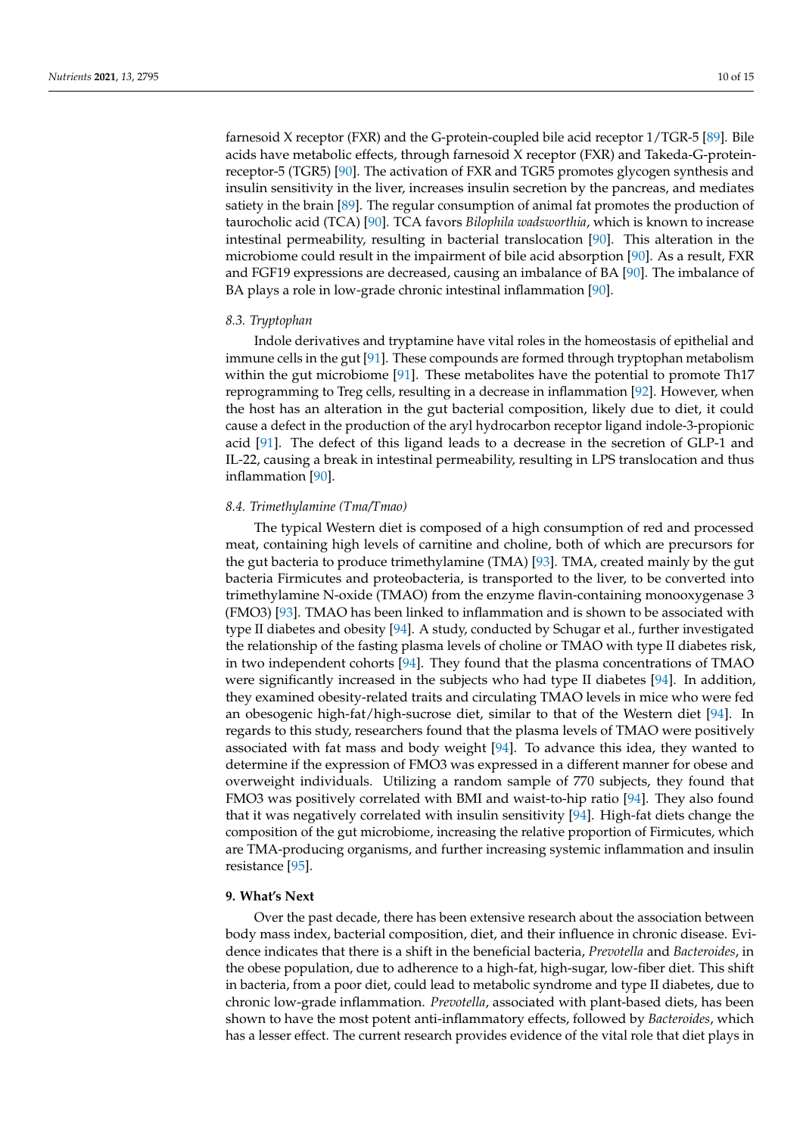farnesoid X receptor (FXR) and the G-protein-coupled bile acid receptor 1/TGR-5 [\[89\]](#page-14-3). Bile acids have metabolic effects, through farnesoid X receptor (FXR) and Takeda-G-proteinreceptor-5 (TGR5) [\[90\]](#page-14-4). The activation of FXR and TGR5 promotes glycogen synthesis and insulin sensitivity in the liver, increases insulin secretion by the pancreas, and mediates satiety in the brain [\[89\]](#page-14-3). The regular consumption of animal fat promotes the production of taurocholic acid (TCA) [\[90\]](#page-14-4). TCA favors *Bilophila wadsworthia*, which is known to increase intestinal permeability, resulting in bacterial translocation [\[90\]](#page-14-4). This alteration in the microbiome could result in the impairment of bile acid absorption [\[90\]](#page-14-4). As a result, FXR and FGF19 expressions are decreased, causing an imbalance of BA [\[90\]](#page-14-4). The imbalance of BA plays a role in low-grade chronic intestinal inflammation [\[90\]](#page-14-4).

## *8.3. Tryptophan*

Indole derivatives and tryptamine have vital roles in the homeostasis of epithelial and immune cells in the gut [\[91\]](#page-14-5). These compounds are formed through tryptophan metabolism within the gut microbiome [\[91\]](#page-14-5). These metabolites have the potential to promote Th17 reprogramming to Treg cells, resulting in a decrease in inflammation [\[92\]](#page-14-6). However, when the host has an alteration in the gut bacterial composition, likely due to diet, it could cause a defect in the production of the aryl hydrocarbon receptor ligand indole-3-propionic acid [\[91\]](#page-14-5). The defect of this ligand leads to a decrease in the secretion of GLP-1 and IL-22, causing a break in intestinal permeability, resulting in LPS translocation and thus inflammation [\[90\]](#page-14-4).

## *8.4. Trimethylamine (Tma/Tmao)*

The typical Western diet is composed of a high consumption of red and processed meat, containing high levels of carnitine and choline, both of which are precursors for the gut bacteria to produce trimethylamine (TMA) [\[93\]](#page-14-7). TMA, created mainly by the gut bacteria Firmicutes and proteobacteria, is transported to the liver, to be converted into trimethylamine N-oxide (TMAO) from the enzyme flavin-containing monooxygenase 3 (FMO3) [\[93\]](#page-14-7). TMAO has been linked to inflammation and is shown to be associated with type II diabetes and obesity [\[94\]](#page-14-8). A study, conducted by Schugar et al., further investigated the relationship of the fasting plasma levels of choline or TMAO with type II diabetes risk, in two independent cohorts [\[94\]](#page-14-8). They found that the plasma concentrations of TMAO were significantly increased in the subjects who had type II diabetes [\[94\]](#page-14-8). In addition, they examined obesity-related traits and circulating TMAO levels in mice who were fed an obesogenic high-fat/high-sucrose diet, similar to that of the Western diet [\[94\]](#page-14-8). In regards to this study, researchers found that the plasma levels of TMAO were positively associated with fat mass and body weight [\[94\]](#page-14-8). To advance this idea, they wanted to determine if the expression of FMO3 was expressed in a different manner for obese and overweight individuals. Utilizing a random sample of 770 subjects, they found that FMO3 was positively correlated with BMI and waist-to-hip ratio [\[94\]](#page-14-8). They also found that it was negatively correlated with insulin sensitivity [\[94\]](#page-14-8). High-fat diets change the composition of the gut microbiome, increasing the relative proportion of Firmicutes, which are TMA-producing organisms, and further increasing systemic inflammation and insulin resistance [\[95\]](#page-14-9).

## **9. What's Next**

Over the past decade, there has been extensive research about the association between body mass index, bacterial composition, diet, and their influence in chronic disease. Evidence indicates that there is a shift in the beneficial bacteria, *Prevotella* and *Bacteroides*, in the obese population, due to adherence to a high-fat, high-sugar, low-fiber diet. This shift in bacteria, from a poor diet, could lead to metabolic syndrome and type II diabetes, due to chronic low-grade inflammation. *Prevotella*, associated with plant-based diets, has been shown to have the most potent anti-inflammatory effects, followed by *Bacteroides*, which has a lesser effect. The current research provides evidence of the vital role that diet plays in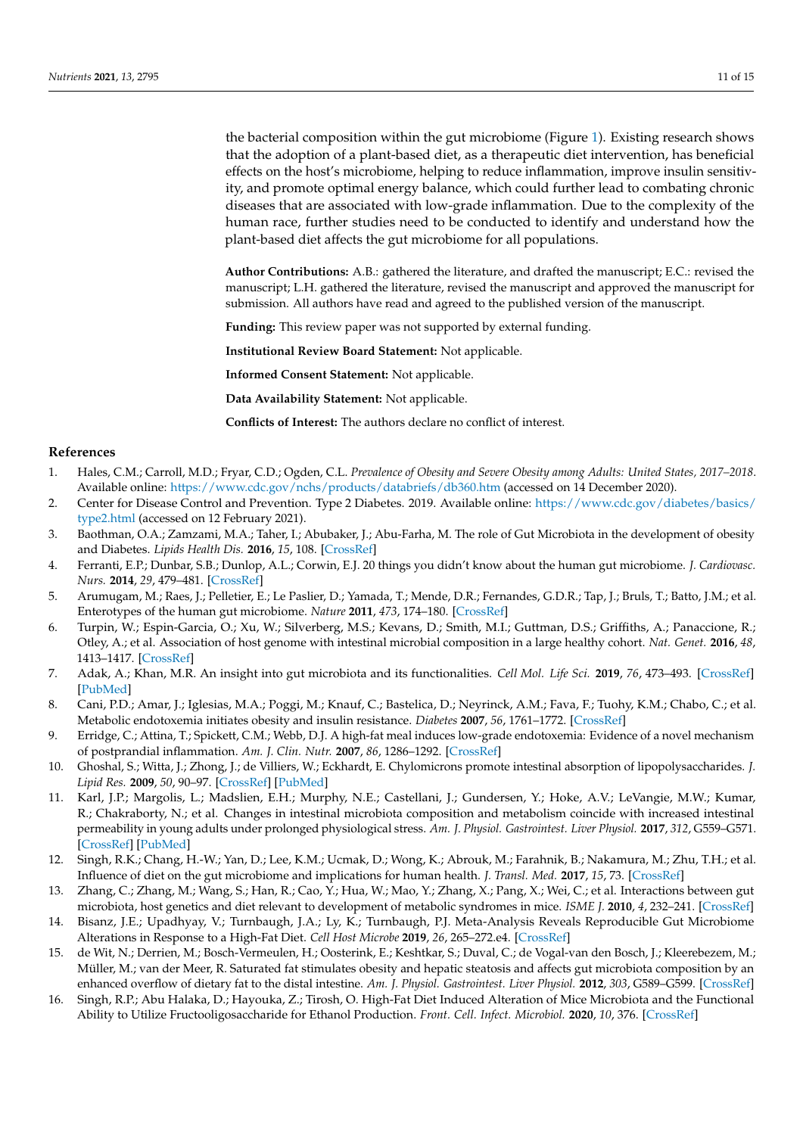the bacterial composition within the gut microbiome (Figure [1\)](#page-3-0). Existing research shows that the adoption of a plant-based diet, as a therapeutic diet intervention, has beneficial effects on the host's microbiome, helping to reduce inflammation, improve insulin sensitivity, and promote optimal energy balance, which could further lead to combating chronic diseases that are associated with low-grade inflammation. Due to the complexity of the human race, further studies need to be conducted to identify and understand how the plant-based diet affects the gut microbiome for all populations.

**Author Contributions:** A.B.: gathered the literature, and drafted the manuscript; E.C.: revised the manuscript; L.H. gathered the literature, revised the manuscript and approved the manuscript for submission. All authors have read and agreed to the published version of the manuscript.

**Funding:** This review paper was not supported by external funding.

**Institutional Review Board Statement:** Not applicable.

**Informed Consent Statement:** Not applicable.

**Data Availability Statement:** Not applicable.

**Conflicts of Interest:** The authors declare no conflict of interest.

#### **References**

- <span id="page-10-0"></span>1. Hales, C.M.; Carroll, M.D.; Fryar, C.D.; Ogden, C.L. *Prevalence of Obesity and Severe Obesity among Adults: United States, 2017–2018*. Available online: <https://www.cdc.gov/nchs/products/databriefs/db360.htm> (accessed on 14 December 2020).
- <span id="page-10-2"></span>2. Center for Disease Control and Prevention. Type 2 Diabetes. 2019. Available online: [https://www.cdc.gov/diabetes/basics/](https://www.cdc.gov/diabetes/basics/type2.html) [type2.html](https://www.cdc.gov/diabetes/basics/type2.html) (accessed on 12 February 2021).
- <span id="page-10-1"></span>3. Baothman, O.A.; Zamzami, M.A.; Taher, I.; Abubaker, J.; Abu-Farha, M. The role of Gut Microbiota in the development of obesity and Diabetes. *Lipids Health Dis.* **2016**, *15*, 108. [\[CrossRef\]](http://doi.org/10.1186/s12944-016-0278-4)
- <span id="page-10-3"></span>4. Ferranti, E.P.; Dunbar, S.B.; Dunlop, A.L.; Corwin, E.J. 20 things you didn't know about the human gut microbiome. *J. Cardiovasc. Nurs.* **2014**, *29*, 479–481. [\[CrossRef\]](http://doi.org/10.1097/JCN.0000000000000166)
- <span id="page-10-4"></span>5. Arumugam, M.; Raes, J.; Pelletier, E.; Le Paslier, D.; Yamada, T.; Mende, D.R.; Fernandes, G.D.R.; Tap, J.; Bruls, T.; Batto, J.M.; et al. Enterotypes of the human gut microbiome. *Nature* **2011**, *473*, 174–180. [\[CrossRef\]](http://doi.org/10.1038/nature09944)
- <span id="page-10-5"></span>6. Turpin, W.; Espin-Garcia, O.; Xu, W.; Silverberg, M.S.; Kevans, D.; Smith, M.I.; Guttman, D.S.; Griffiths, A.; Panaccione, R.; Otley, A.; et al. Association of host genome with intestinal microbial composition in a large healthy cohort. *Nat. Genet.* **2016**, *48*, 1413–1417. [\[CrossRef\]](http://doi.org/10.1038/ng.3693)
- <span id="page-10-6"></span>7. Adak, A.; Khan, M.R. An insight into gut microbiota and its functionalities. *Cell Mol. Life Sci.* **2019**, *76*, 473–493. [\[CrossRef\]](http://doi.org/10.1007/s00018-018-2943-4) [\[PubMed\]](http://www.ncbi.nlm.nih.gov/pubmed/30317530)
- <span id="page-10-7"></span>8. Cani, P.D.; Amar, J.; Iglesias, M.A.; Poggi, M.; Knauf, C.; Bastelica, D.; Neyrinck, A.M.; Fava, F.; Tuohy, K.M.; Chabo, C.; et al. Metabolic endotoxemia initiates obesity and insulin resistance. *Diabetes* **2007**, *56*, 1761–1772. [\[CrossRef\]](http://doi.org/10.2337/db06-1491)
- 9. Erridge, C.; Attina, T.; Spickett, C.M.; Webb, D.J. A high-fat meal induces low-grade endotoxemia: Evidence of a novel mechanism of postprandial inflammation. *Am. J. Clin. Nutr.* **2007**, *86*, 1286–1292. [\[CrossRef\]](http://doi.org/10.1093/ajcn/86.5.1286)
- <span id="page-10-11"></span>10. Ghoshal, S.; Witta, J.; Zhong, J.; de Villiers, W.; Eckhardt, E. Chylomicrons promote intestinal absorption of lipopolysaccharides. *J. Lipid Res.* **2009**, *50*, 90–97. [\[CrossRef\]](http://doi.org/10.1194/jlr.M800156-JLR200) [\[PubMed\]](http://www.ncbi.nlm.nih.gov/pubmed/18815435)
- 11. Karl, J.P.; Margolis, L.; Madslien, E.H.; Murphy, N.E.; Castellani, J.; Gundersen, Y.; Hoke, A.V.; LeVangie, M.W.; Kumar, R.; Chakraborty, N.; et al. Changes in intestinal microbiota composition and metabolism coincide with increased intestinal permeability in young adults under prolonged physiological stress. *Am. J. Physiol. Gastrointest. Liver Physiol.* **2017**, *312*, G559–G571. [\[CrossRef\]](http://doi.org/10.1152/ajpgi.00066.2017) [\[PubMed\]](http://www.ncbi.nlm.nih.gov/pubmed/28336545)
- <span id="page-10-8"></span>12. Singh, R.K.; Chang, H.-W.; Yan, D.; Lee, K.M.; Ucmak, D.; Wong, K.; Abrouk, M.; Farahnik, B.; Nakamura, M.; Zhu, T.H.; et al. Influence of diet on the gut microbiome and implications for human health. *J. Transl. Med.* **2017**, *15*, 73. [\[CrossRef\]](http://doi.org/10.1186/s12967-017-1175-y)
- <span id="page-10-9"></span>13. Zhang, C.; Zhang, M.; Wang, S.; Han, R.; Cao, Y.; Hua, W.; Mao, Y.; Zhang, X.; Pang, X.; Wei, C.; et al. Interactions between gut microbiota, host genetics and diet relevant to development of metabolic syndromes in mice. *ISME J.* **2010**, *4*, 232–241. [\[CrossRef\]](http://doi.org/10.1038/ismej.2009.112)
- <span id="page-10-10"></span>14. Bisanz, J.E.; Upadhyay, V.; Turnbaugh, J.A.; Ly, K.; Turnbaugh, P.J. Meta-Analysis Reveals Reproducible Gut Microbiome Alterations in Response to a High-Fat Diet. *Cell Host Microbe* **2019**, *26*, 265–272.e4. [\[CrossRef\]](http://doi.org/10.1016/j.chom.2019.06.013)
- 15. de Wit, N.; Derrien, M.; Bosch-Vermeulen, H.; Oosterink, E.; Keshtkar, S.; Duval, C.; de Vogal-van den Bosch, J.; Kleerebezem, M.; Müller, M.; van der Meer, R. Saturated fat stimulates obesity and hepatic steatosis and affects gut microbiota composition by an enhanced overflow of dietary fat to the distal intestine. *Am. J. Physiol. Gastrointest. Liver Physiol.* **2012**, *303*, G589–G599. [\[CrossRef\]](http://doi.org/10.1152/ajpgi.00488.2011)
- 16. Singh, R.P.; Abu Halaka, D.; Hayouka, Z.; Tirosh, O. High-Fat Diet Induced Alteration of Mice Microbiota and the Functional Ability to Utilize Fructooligosaccharide for Ethanol Production. *Front. Cell. Infect. Microbiol.* **2020**, *10*, 376. [\[CrossRef\]](http://doi.org/10.3389/fcimb.2020.00376)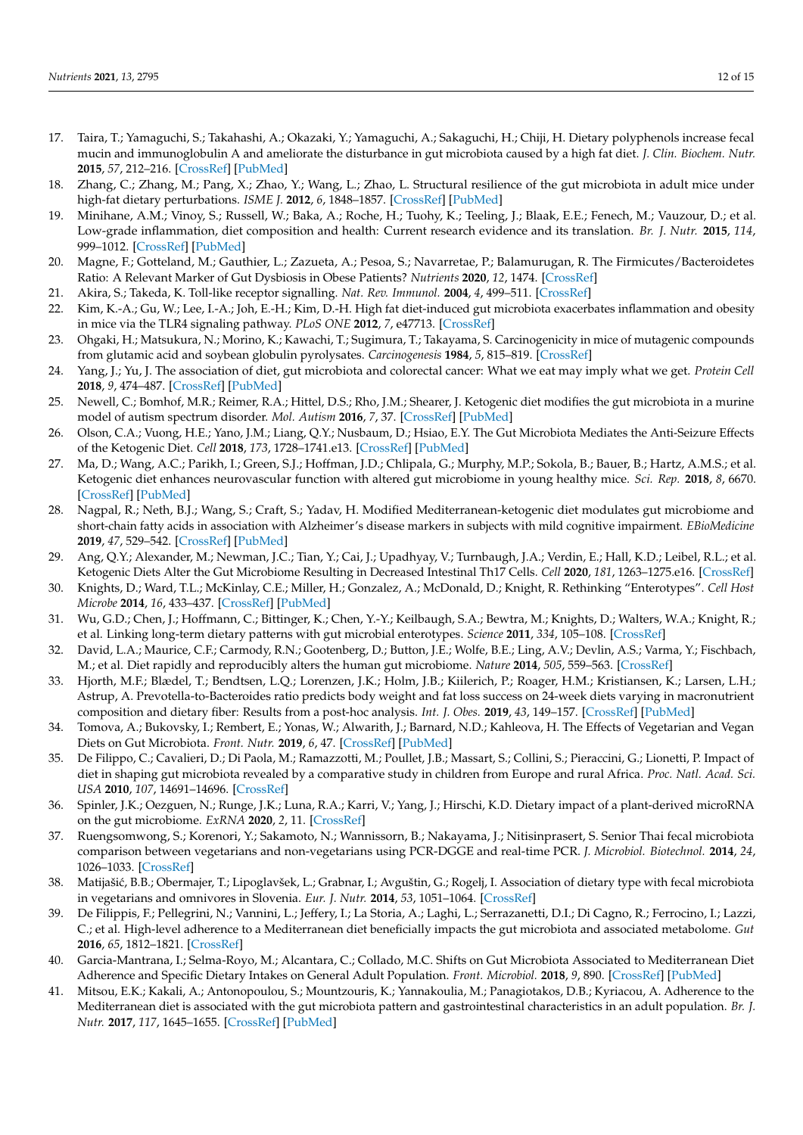- 17. Taira, T.; Yamaguchi, S.; Takahashi, A.; Okazaki, Y.; Yamaguchi, A.; Sakaguchi, H.; Chiji, H. Dietary polyphenols increase fecal mucin and immunoglobulin A and ameliorate the disturbance in gut microbiota caused by a high fat diet. *J. Clin. Biochem. Nutr.* **2015**, *57*, 212–216. [\[CrossRef\]](http://doi.org/10.3164/jcbn.15-15) [\[PubMed\]](http://www.ncbi.nlm.nih.gov/pubmed/26566306)
- <span id="page-11-0"></span>18. Zhang, C.; Zhang, M.; Pang, X.; Zhao, Y.; Wang, L.; Zhao, L. Structural resilience of the gut microbiota in adult mice under high-fat dietary perturbations. *ISME J.* **2012**, *6*, 1848–1857. [\[CrossRef\]](http://doi.org/10.1038/ismej.2012.27) [\[PubMed\]](http://www.ncbi.nlm.nih.gov/pubmed/22495068)
- <span id="page-11-1"></span>19. Minihane, A.M.; Vinoy, S.; Russell, W.; Baka, A.; Roche, H.; Tuohy, K.; Teeling, J.; Blaak, E.E.; Fenech, M.; Vauzour, D.; et al. Low-grade inflammation, diet composition and health: Current research evidence and its translation. *Br. J. Nutr.* **2015**, *114*, 999–1012. [\[CrossRef\]](http://doi.org/10.1017/S0007114515002093) [\[PubMed\]](http://www.ncbi.nlm.nih.gov/pubmed/26228057)
- <span id="page-11-2"></span>20. Magne, F.; Gotteland, M.; Gauthier, L.; Zazueta, A.; Pesoa, S.; Navarretae, P.; Balamurugan, R. The Firmicutes/Bacteroidetes Ratio: A Relevant Marker of Gut Dysbiosis in Obese Patients? *Nutrients* **2020**, *12*, 1474. [\[CrossRef\]](http://doi.org/10.3390/nu12051474)
- <span id="page-11-3"></span>21. Akira, S.; Takeda, K. Toll-like receptor signalling. *Nat. Rev. Immunol.* **2004**, *4*, 499–511. [\[CrossRef\]](http://doi.org/10.1038/nri1391)
- <span id="page-11-4"></span>22. Kim, K.-A.; Gu, W.; Lee, I.-A.; Joh, E.-H.; Kim, D.-H. High fat diet-induced gut microbiota exacerbates inflammation and obesity in mice via the TLR4 signaling pathway. *PLoS ONE* **2012**, *7*, e47713. [\[CrossRef\]](http://doi.org/10.1371/journal.pone.0047713)
- <span id="page-11-5"></span>23. Ohgaki, H.; Matsukura, N.; Morino, K.; Kawachi, T.; Sugimura, T.; Takayama, S. Carcinogenicity in mice of mutagenic compounds from glutamic acid and soybean globulin pyrolysates. *Carcinogenesis* **1984**, *5*, 815–819. [\[CrossRef\]](http://doi.org/10.1093/carcin/5.6.815)
- <span id="page-11-6"></span>24. Yang, J.; Yu, J. The association of diet, gut microbiota and colorectal cancer: What we eat may imply what we get. *Protein Cell* **2018**, *9*, 474–487. [\[CrossRef\]](http://doi.org/10.1007/s13238-018-0543-6) [\[PubMed\]](http://www.ncbi.nlm.nih.gov/pubmed/29713943)
- <span id="page-11-7"></span>25. Newell, C.; Bomhof, M.R.; Reimer, R.A.; Hittel, D.S.; Rho, J.M.; Shearer, J. Ketogenic diet modifies the gut microbiota in a murine model of autism spectrum disorder. *Mol. Autism* **2016**, *7*, 37. [\[CrossRef\]](http://doi.org/10.1186/s13229-016-0099-3) [\[PubMed\]](http://www.ncbi.nlm.nih.gov/pubmed/27594980)
- <span id="page-11-8"></span>26. Olson, C.A.; Vuong, H.E.; Yano, J.M.; Liang, Q.Y.; Nusbaum, D.; Hsiao, E.Y. The Gut Microbiota Mediates the Anti-Seizure Effects of the Ketogenic Diet. *Cell* **2018**, *173*, 1728–1741.e13. [\[CrossRef\]](http://doi.org/10.1016/j.cell.2018.04.027) [\[PubMed\]](http://www.ncbi.nlm.nih.gov/pubmed/29804833)
- <span id="page-11-9"></span>27. Ma, D.; Wang, A.C.; Parikh, I.; Green, S.J.; Hoffman, J.D.; Chlipala, G.; Murphy, M.P.; Sokola, B.; Bauer, B.; Hartz, A.M.S.; et al. Ketogenic diet enhances neurovascular function with altered gut microbiome in young healthy mice. *Sci. Rep.* **2018**, *8*, 6670. [\[CrossRef\]](http://doi.org/10.1038/s41598-018-25190-5) [\[PubMed\]](http://www.ncbi.nlm.nih.gov/pubmed/29703936)
- <span id="page-11-10"></span>28. Nagpal, R.; Neth, B.J.; Wang, S.; Craft, S.; Yadav, H. Modified Mediterranean-ketogenic diet modulates gut microbiome and short-chain fatty acids in association with Alzheimer's disease markers in subjects with mild cognitive impairment. *EBioMedicine* **2019**, *47*, 529–542. [\[CrossRef\]](http://doi.org/10.1016/j.ebiom.2019.08.032) [\[PubMed\]](http://www.ncbi.nlm.nih.gov/pubmed/31477562)
- <span id="page-11-11"></span>29. Ang, Q.Y.; Alexander, M.; Newman, J.C.; Tian, Y.; Cai, J.; Upadhyay, V.; Turnbaugh, J.A.; Verdin, E.; Hall, K.D.; Leibel, R.L.; et al. Ketogenic Diets Alter the Gut Microbiome Resulting in Decreased Intestinal Th17 Cells. *Cell* **2020**, *181*, 1263–1275.e16. [\[CrossRef\]](http://doi.org/10.1016/j.cell.2020.04.027)
- <span id="page-11-12"></span>30. Knights, D.; Ward, T.L.; McKinlay, C.E.; Miller, H.; Gonzalez, A.; McDonald, D.; Knight, R. Rethinking "Enterotypes". *Cell Host Microbe* **2014**, *16*, 433–437. [\[CrossRef\]](http://doi.org/10.1016/j.chom.2014.09.013) [\[PubMed\]](http://www.ncbi.nlm.nih.gov/pubmed/25299329)
- <span id="page-11-13"></span>31. Wu, G.D.; Chen, J.; Hoffmann, C.; Bittinger, K.; Chen, Y.-Y.; Keilbaugh, S.A.; Bewtra, M.; Knights, D.; Walters, W.A.; Knight, R.; et al. Linking long-term dietary patterns with gut microbial enterotypes. *Science* **2011**, *334*, 105–108. [\[CrossRef\]](http://doi.org/10.1126/science.1208344)
- <span id="page-11-14"></span>32. David, L.A.; Maurice, C.F.; Carmody, R.N.; Gootenberg, D.; Button, J.E.; Wolfe, B.E.; Ling, A.V.; Devlin, A.S.; Varma, Y.; Fischbach, M.; et al. Diet rapidly and reproducibly alters the human gut microbiome. *Nature* **2014**, *505*, 559–563. [\[CrossRef\]](http://doi.org/10.1038/nature12820)
- 33. Hjorth, M.F.; Blædel, T.; Bendtsen, L.Q.; Lorenzen, J.K.; Holm, J.B.; Kiilerich, P.; Roager, H.M.; Kristiansen, K.; Larsen, L.H.; Astrup, A. Prevotella-to-Bacteroides ratio predicts body weight and fat loss success on 24-week diets varying in macronutrient composition and dietary fiber: Results from a post-hoc analysis. *Int. J. Obes.* **2019**, *43*, 149–157. [\[CrossRef\]](http://doi.org/10.1038/s41366-018-0093-2) [\[PubMed\]](http://www.ncbi.nlm.nih.gov/pubmed/29777234)
- <span id="page-11-15"></span>34. Tomova, A.; Bukovsky, I.; Rembert, E.; Yonas, W.; Alwarith, J.; Barnard, N.D.; Kahleova, H. The Effects of Vegetarian and Vegan Diets on Gut Microbiota. *Front. Nutr.* **2019**, *6*, 47. [\[CrossRef\]](http://doi.org/10.3389/fnut.2019.00047) [\[PubMed\]](http://www.ncbi.nlm.nih.gov/pubmed/31058160)
- <span id="page-11-16"></span>35. De Filippo, C.; Cavalieri, D.; Di Paola, M.; Ramazzotti, M.; Poullet, J.B.; Massart, S.; Collini, S.; Pieraccini, G.; Lionetti, P. Impact of diet in shaping gut microbiota revealed by a comparative study in children from Europe and rural Africa. *Proc. Natl. Acad. Sci. USA* **2010**, *107*, 14691–14696. [\[CrossRef\]](http://doi.org/10.1073/pnas.1005963107)
- <span id="page-11-17"></span>36. Spinler, J.K.; Oezguen, N.; Runge, J.K.; Luna, R.A.; Karri, V.; Yang, J.; Hirschi, K.D. Dietary impact of a plant-derived microRNA on the gut microbiome. *ExRNA* **2020**, *2*, 11. [\[CrossRef\]](http://doi.org/10.1186/s41544-020-00053-2)
- <span id="page-11-18"></span>37. Ruengsomwong, S.; Korenori, Y.; Sakamoto, N.; Wannissorn, B.; Nakayama, J.; Nitisinprasert, S. Senior Thai fecal microbiota comparison between vegetarians and non-vegetarians using PCR-DGGE and real-time PCR. *J. Microbiol. Biotechnol.* **2014**, *24*, 1026–1033. [\[CrossRef\]](http://doi.org/10.4014/jmb.1310.10043)
- <span id="page-11-19"></span>38. Matijašić, B.B.; Obermajer, T.; Lipoglavšek, L.; Grabnar, I.; Avguštin, G.; Rogelj, I. Association of dietary type with fecal microbiota in vegetarians and omnivores in Slovenia. *Eur. J. Nutr.* **2014**, *53*, 1051–1064. [\[CrossRef\]](http://doi.org/10.1007/s00394-013-0607-6)
- <span id="page-11-20"></span>39. De Filippis, F.; Pellegrini, N.; Vannini, L.; Jeffery, I.; La Storia, A.; Laghi, L.; Serrazanetti, D.I.; Di Cagno, R.; Ferrocino, I.; Lazzi, C.; et al. High-level adherence to a Mediterranean diet beneficially impacts the gut microbiota and associated metabolome. *Gut* **2016**, *65*, 1812–1821. [\[CrossRef\]](http://doi.org/10.1136/gutjnl-2015-309957)
- <span id="page-11-21"></span>40. Garcia-Mantrana, I.; Selma-Royo, M.; Alcantara, C.; Collado, M.C. Shifts on Gut Microbiota Associated to Mediterranean Diet Adherence and Specific Dietary Intakes on General Adult Population. *Front. Microbiol.* **2018**, *9*, 890. [\[CrossRef\]](http://doi.org/10.3389/fmicb.2018.00890) [\[PubMed\]](http://www.ncbi.nlm.nih.gov/pubmed/29867803)
- <span id="page-11-22"></span>41. Mitsou, E.K.; Kakali, A.; Antonopoulou, S.; Mountzouris, K.; Yannakoulia, M.; Panagiotakos, D.B.; Kyriacou, A. Adherence to the Mediterranean diet is associated with the gut microbiota pattern and gastrointestinal characteristics in an adult population. *Br. J. Nutr.* **2017**, *117*, 1645–1655. [\[CrossRef\]](http://doi.org/10.1017/S0007114517001593) [\[PubMed\]](http://www.ncbi.nlm.nih.gov/pubmed/28789729)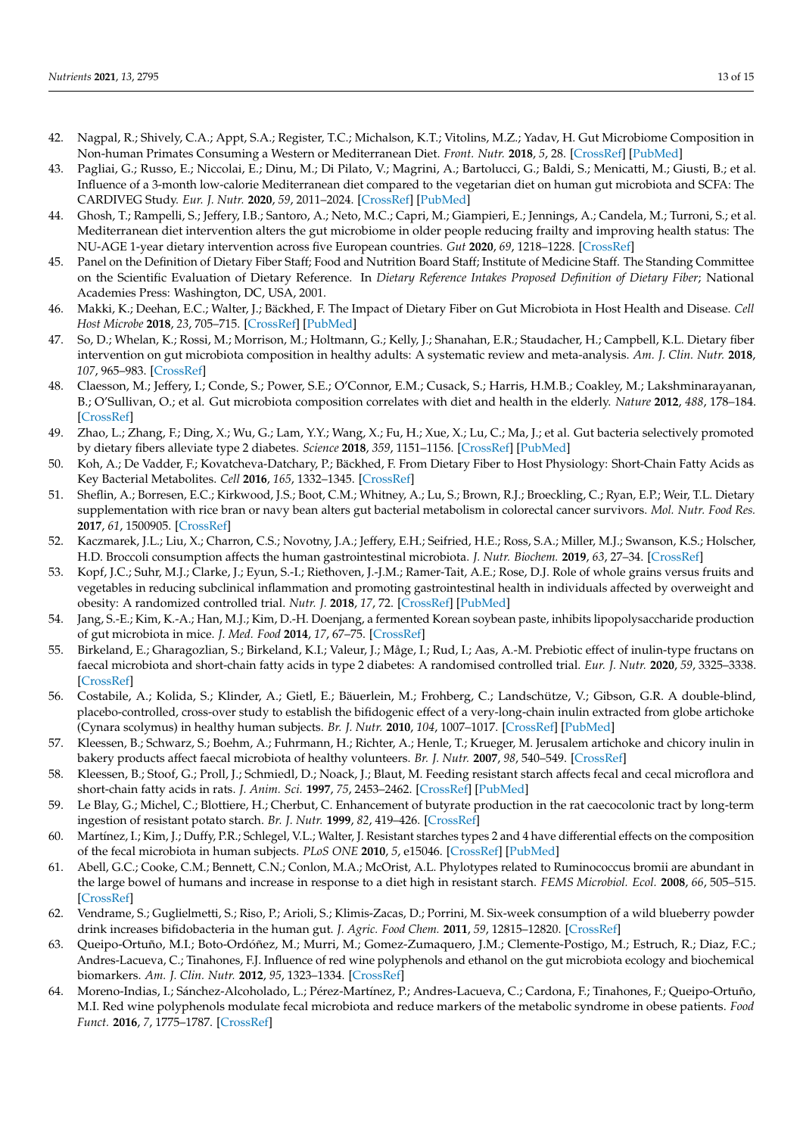- <span id="page-12-0"></span>42. Nagpal, R.; Shively, C.A.; Appt, S.A.; Register, T.C.; Michalson, K.T.; Vitolins, M.Z.; Yadav, H. Gut Microbiome Composition in Non-human Primates Consuming a Western or Mediterranean Diet. *Front. Nutr.* **2018**, *5*, 28. [\[CrossRef\]](http://doi.org/10.3389/fnut.2018.00028) [\[PubMed\]](http://www.ncbi.nlm.nih.gov/pubmed/29922651)
- <span id="page-12-1"></span>43. Pagliai, G.; Russo, E.; Niccolai, E.; Dinu, M.; Di Pilato, V.; Magrini, A.; Bartolucci, G.; Baldi, S.; Menicatti, M.; Giusti, B.; et al. Influence of a 3-month low-calorie Mediterranean diet compared to the vegetarian diet on human gut microbiota and SCFA: The CARDIVEG Study. *Eur. J. Nutr.* **2020**, *59*, 2011–2024. [\[CrossRef\]](http://doi.org/10.1007/s00394-019-02050-0) [\[PubMed\]](http://www.ncbi.nlm.nih.gov/pubmed/31292752)
- <span id="page-12-2"></span>44. Ghosh, T.; Rampelli, S.; Jeffery, I.B.; Santoro, A.; Neto, M.C.; Capri, M.; Giampieri, E.; Jennings, A.; Candela, M.; Turroni, S.; et al. Mediterranean diet intervention alters the gut microbiome in older people reducing frailty and improving health status: The NU-AGE 1-year dietary intervention across five European countries. *Gut* **2020**, *69*, 1218–1228. [\[CrossRef\]](http://doi.org/10.1136/gutjnl-2019-319654)
- <span id="page-12-3"></span>45. Panel on the Definition of Dietary Fiber Staff; Food and Nutrition Board Staff; Institute of Medicine Staff. The Standing Committee on the Scientific Evaluation of Dietary Reference. In *Dietary Reference Intakes Proposed Definition of Dietary Fiber*; National Academies Press: Washington, DC, USA, 2001.
- <span id="page-12-4"></span>46. Makki, K.; Deehan, E.C.; Walter, J.; Bäckhed, F. The Impact of Dietary Fiber on Gut Microbiota in Host Health and Disease. *Cell Host Microbe* **2018**, *23*, 705–715. [\[CrossRef\]](http://doi.org/10.1016/j.chom.2018.05.012) [\[PubMed\]](http://www.ncbi.nlm.nih.gov/pubmed/29902436)
- <span id="page-12-5"></span>47. So, D.; Whelan, K.; Rossi, M.; Morrison, M.; Holtmann, G.; Kelly, J.; Shanahan, E.R.; Staudacher, H.; Campbell, K.L. Dietary fiber intervention on gut microbiota composition in healthy adults: A systematic review and meta-analysis. *Am. J. Clin. Nutr.* **2018**, *107*, 965–983. [\[CrossRef\]](http://doi.org/10.1093/ajcn/nqy041)
- <span id="page-12-6"></span>48. Claesson, M.; Jeffery, I.; Conde, S.; Power, S.E.; O'Connor, E.M.; Cusack, S.; Harris, H.M.B.; Coakley, M.; Lakshminarayanan, B.; O'Sullivan, O.; et al. Gut microbiota composition correlates with diet and health in the elderly. *Nature* **2012**, *488*, 178–184. [\[CrossRef\]](http://doi.org/10.1038/nature11319)
- <span id="page-12-7"></span>49. Zhao, L.; Zhang, F.; Ding, X.; Wu, G.; Lam, Y.Y.; Wang, X.; Fu, H.; Xue, X.; Lu, C.; Ma, J.; et al. Gut bacteria selectively promoted by dietary fibers alleviate type 2 diabetes. *Science* **2018**, *359*, 1151–1156. [\[CrossRef\]](http://doi.org/10.1126/science.aao5774) [\[PubMed\]](http://www.ncbi.nlm.nih.gov/pubmed/29590046)
- <span id="page-12-8"></span>50. Koh, A.; De Vadder, F.; Kovatcheva-Datchary, P.; Bäckhed, F. From Dietary Fiber to Host Physiology: Short-Chain Fatty Acids as Key Bacterial Metabolites. *Cell* **2016**, *165*, 1332–1345. [\[CrossRef\]](http://doi.org/10.1016/j.cell.2016.05.041)
- <span id="page-12-9"></span>51. Sheflin, A.; Borresen, E.C.; Kirkwood, J.S.; Boot, C.M.; Whitney, A.; Lu, S.; Brown, R.J.; Broeckling, C.; Ryan, E.P.; Weir, T.L. Dietary supplementation with rice bran or navy bean alters gut bacterial metabolism in colorectal cancer survivors. *Mol. Nutr. Food Res.* **2017**, *61*, 1500905. [\[CrossRef\]](http://doi.org/10.1002/mnfr.201500905)
- <span id="page-12-10"></span>52. Kaczmarek, J.L.; Liu, X.; Charron, C.S.; Novotny, J.A.; Jeffery, E.H.; Seifried, H.E.; Ross, S.A.; Miller, M.J.; Swanson, K.S.; Holscher, H.D. Broccoli consumption affects the human gastrointestinal microbiota. *J. Nutr. Biochem.* **2019**, *63*, 27–34. [\[CrossRef\]](http://doi.org/10.1016/j.jnutbio.2018.09.015)
- <span id="page-12-11"></span>53. Kopf, J.C.; Suhr, M.J.; Clarke, J.; Eyun, S.-I.; Riethoven, J.-J.M.; Ramer-Tait, A.E.; Rose, D.J. Role of whole grains versus fruits and vegetables in reducing subclinical inflammation and promoting gastrointestinal health in individuals affected by overweight and obesity: A randomized controlled trial. *Nutr. J.* **2018**, *17*, 72. [\[CrossRef\]](http://doi.org/10.1186/s12937-018-0381-7) [\[PubMed\]](http://www.ncbi.nlm.nih.gov/pubmed/30060746)
- <span id="page-12-12"></span>54. Jang, S.-E.; Kim, K.-A.; Han, M.J.; Kim, D.-H. Doenjang, a fermented Korean soybean paste, inhibits lipopolysaccharide production of gut microbiota in mice. *J. Med. Food* **2014**, *17*, 67–75. [\[CrossRef\]](http://doi.org/10.1089/jmf.2013.3073)
- <span id="page-12-13"></span>55. Birkeland, E.; Gharagozlian, S.; Birkeland, K.I.; Valeur, J.; Måge, I.; Rud, I.; Aas, A.-M. Prebiotic effect of inulin-type fructans on faecal microbiota and short-chain fatty acids in type 2 diabetes: A randomised controlled trial. *Eur. J. Nutr.* **2020**, *59*, 3325–3338. [\[CrossRef\]](http://doi.org/10.1007/s00394-020-02282-5)
- <span id="page-12-14"></span>56. Costabile, A.; Kolida, S.; Klinder, A.; Gietl, E.; Bäuerlein, M.; Frohberg, C.; Landschütze, V.; Gibson, G.R. A double-blind, placebo-controlled, cross-over study to establish the bifidogenic effect of a very-long-chain inulin extracted from globe artichoke (Cynara scolymus) in healthy human subjects. *Br. J. Nutr.* **2010**, *104*, 1007–1017. [\[CrossRef\]](http://doi.org/10.1017/S0007114510001571) [\[PubMed\]](http://www.ncbi.nlm.nih.gov/pubmed/20591206)
- <span id="page-12-15"></span>57. Kleessen, B.; Schwarz, S.; Boehm, A.; Fuhrmann, H.; Richter, A.; Henle, T.; Krueger, M. Jerusalem artichoke and chicory inulin in bakery products affect faecal microbiota of healthy volunteers. *Br. J. Nutr.* **2007**, *98*, 540–549. [\[CrossRef\]](http://doi.org/10.1017/S0007114507730751)
- <span id="page-12-16"></span>58. Kleessen, B.; Stoof, G.; Proll, J.; Schmiedl, D.; Noack, J.; Blaut, M. Feeding resistant starch affects fecal and cecal microflora and short-chain fatty acids in rats. *J. Anim. Sci.* **1997**, *75*, 2453–2462. [\[CrossRef\]](http://doi.org/10.2527/1997.7592453x) [\[PubMed\]](http://www.ncbi.nlm.nih.gov/pubmed/9303464)
- <span id="page-12-17"></span>59. Le Blay, G.; Michel, C.; Blottiere, H.; Cherbut, C. Enhancement of butyrate production in the rat caecocolonic tract by long-term ingestion of resistant potato starch. *Br. J. Nutr.* **1999**, *82*, 419–426. [\[CrossRef\]](http://doi.org/10.1017/S000711459900166X)
- <span id="page-12-18"></span>60. Martínez, I.; Kim, J.; Duffy, P.R.; Schlegel, V.L.; Walter, J. Resistant starches types 2 and 4 have differential effects on the composition of the fecal microbiota in human subjects. *PLoS ONE* **2010**, *5*, e15046. [\[CrossRef\]](http://doi.org/10.1371/journal.pone.0015046) [\[PubMed\]](http://www.ncbi.nlm.nih.gov/pubmed/21151493)
- <span id="page-12-19"></span>61. Abell, G.C.; Cooke, C.M.; Bennett, C.N.; Conlon, M.A.; McOrist, A.L. Phylotypes related to Ruminococcus bromii are abundant in the large bowel of humans and increase in response to a diet high in resistant starch. *FEMS Microbiol. Ecol.* **2008**, *66*, 505–515. [\[CrossRef\]](http://doi.org/10.1111/j.1574-6941.2008.00527.x)
- <span id="page-12-20"></span>62. Vendrame, S.; Guglielmetti, S.; Riso, P.; Arioli, S.; Klimis-Zacas, D.; Porrini, M. Six-week consumption of a wild blueberry powder drink increases bifidobacteria in the human gut. *J. Agric. Food Chem.* **2011**, *59*, 12815–12820. [\[CrossRef\]](http://doi.org/10.1021/jf2028686)
- <span id="page-12-21"></span>63. Queipo-Ortuño, M.I.; Boto-Ordóñez, M.; Murri, M.; Gomez-Zumaquero, J.M.; Clemente-Postigo, M.; Estruch, R.; Diaz, F.C.; Andres-Lacueva, C.; Tinahones, F.J. Influence of red wine polyphenols and ethanol on the gut microbiota ecology and biochemical biomarkers. *Am. J. Clin. Nutr.* **2012**, *95*, 1323–1334. [\[CrossRef\]](http://doi.org/10.3945/ajcn.111.027847)
- <span id="page-12-22"></span>64. Moreno-Indias, I.; Sánchez-Alcoholado, L.; Pérez-Martínez, P.; Andres-Lacueva, C.; Cardona, F.; Tinahones, F.; Queipo-Ortuño, M.I. Red wine polyphenols modulate fecal microbiota and reduce markers of the metabolic syndrome in obese patients. *Food Funct.* **2016**, *7*, 1775–1787. [\[CrossRef\]](http://doi.org/10.1039/C5FO00886G)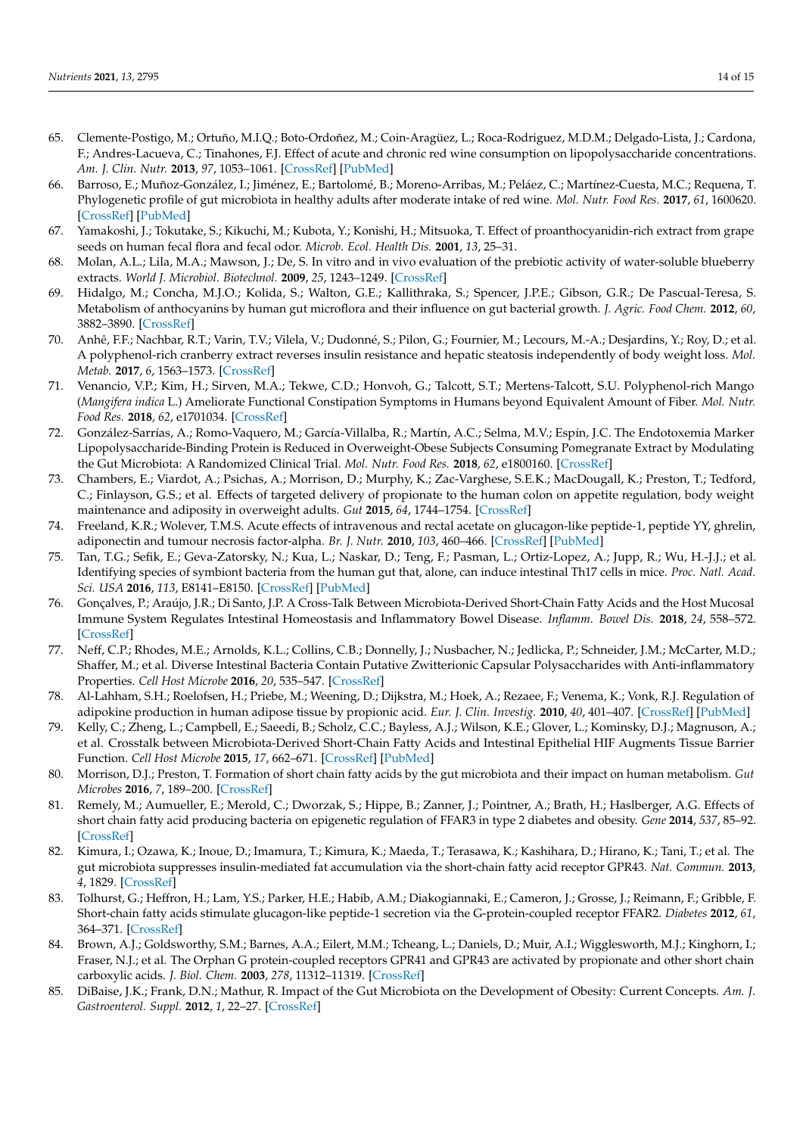- <span id="page-13-0"></span>65. Clemente-Postigo, M.; Ortuño, M.I.Q.; Boto-Ordoñez, M.; Coin-Aragüez, L.; Roca-Rodriguez, M.D.M.; Delgado-Lista, J.; Cardona, F.; Andres-Lacueva, C.; Tinahones, F.J. Effect of acute and chronic red wine consumption on lipopolysaccharide concentrations. *Am. J. Clin. Nutr.* **2013**, *97*, 1053–1061. [\[CrossRef\]](http://doi.org/10.3945/ajcn.112.051128) [\[PubMed\]](http://www.ncbi.nlm.nih.gov/pubmed/23576043)
- <span id="page-13-1"></span>66. Barroso, E.; Muñoz-González, I.; Jiménez, E.; Bartolomé, B.; Moreno-Arribas, M.; Peláez, C.; Martínez-Cuesta, M.C.; Requena, T. Phylogenetic profile of gut microbiota in healthy adults after moderate intake of red wine. *Mol. Nutr. Food Res.* **2017**, *61*, 1600620. [\[CrossRef\]](http://doi.org/10.1002/mnfr.201600620) [\[PubMed\]](http://www.ncbi.nlm.nih.gov/pubmed/27794201)
- <span id="page-13-2"></span>67. Yamakoshi, J.; Tokutake, S.; Kikuchi, M.; Kubota, Y.; Konishi, H.; Mitsuoka, T. Effect of proanthocyanidin-rich extract from grape seeds on human fecal flora and fecal odor. *Microb. Ecol. Health Dis.* **2001**, *13*, 25–31.
- <span id="page-13-3"></span>68. Molan, A.L.; Lila, M.A.; Mawson, J.; De, S. In vitro and in vivo evaluation of the prebiotic activity of water-soluble blueberry extracts. *World J. Microbiol. Biotechnol.* **2009**, *25*, 1243–1249. [\[CrossRef\]](http://doi.org/10.1007/s11274-009-0011-9)
- <span id="page-13-4"></span>69. Hidalgo, M.; Concha, M.J.O.; Kolida, S.; Walton, G.E.; Kallithraka, S.; Spencer, J.P.E.; Gibson, G.R.; De Pascual-Teresa, S. Metabolism of anthocyanins by human gut microflora and their influence on gut bacterial growth. *J. Agric. Food Chem.* **2012**, *60*, 3882–3890. [\[CrossRef\]](http://doi.org/10.1021/jf3002153)
- <span id="page-13-5"></span>70. Anhê, F.F.; Nachbar, R.T.; Varin, T.V.; Vilela, V.; Dudonné, S.; Pilon, G.; Fournier, M.; Lecours, M.-A.; Desjardins, Y.; Roy, D.; et al. A polyphenol-rich cranberry extract reverses insulin resistance and hepatic steatosis independently of body weight loss. *Mol. Metab.* **2017**, *6*, 1563–1573. [\[CrossRef\]](http://doi.org/10.1016/j.molmet.2017.10.003)
- <span id="page-13-6"></span>71. Venancio, V.P.; Kim, H.; Sirven, M.A.; Tekwe, C.D.; Honvoh, G.; Talcott, S.T.; Mertens-Talcott, S.U. Polyphenol-rich Mango (*Mangifera indica* L.) Ameliorate Functional Constipation Symptoms in Humans beyond Equivalent Amount of Fiber. *Mol. Nutr. Food Res.* **2018**, *62*, e1701034. [\[CrossRef\]](http://doi.org/10.1002/mnfr.201701034)
- <span id="page-13-7"></span>72. González-Sarrías, A.; Romo-Vaquero, M.; García-Villalba, R.; Martín, A.C.; Selma, M.V.; Espín, J.C. The Endotoxemia Marker Lipopolysaccharide-Binding Protein is Reduced in Overweight-Obese Subjects Consuming Pomegranate Extract by Modulating the Gut Microbiota: A Randomized Clinical Trial. *Mol. Nutr. Food Res.* **2018**, *62*, e1800160. [\[CrossRef\]](http://doi.org/10.1002/mnfr.201800160)
- <span id="page-13-8"></span>73. Chambers, E.; Viardot, A.; Psichas, A.; Morrison, D.; Murphy, K.; Zac-Varghese, S.E.K.; MacDougall, K.; Preston, T.; Tedford, C.; Finlayson, G.S.; et al. Effects of targeted delivery of propionate to the human colon on appetite regulation, body weight maintenance and adiposity in overweight adults. *Gut* **2015**, *64*, 1744–1754. [\[CrossRef\]](http://doi.org/10.1136/gutjnl-2014-307913)
- <span id="page-13-9"></span>74. Freeland, K.R.; Wolever, T.M.S. Acute effects of intravenous and rectal acetate on glucagon-like peptide-1, peptide YY, ghrelin, adiponectin and tumour necrosis factor-alpha. *Br. J. Nutr.* **2010**, *103*, 460–466. [\[CrossRef\]](http://doi.org/10.1017/S0007114509991863) [\[PubMed\]](http://www.ncbi.nlm.nih.gov/pubmed/19818198)
- <span id="page-13-10"></span>75. Tan, T.G.; Sefik, E.; Geva-Zatorsky, N.; Kua, L.; Naskar, D.; Teng, F.; Pasman, L.; Ortiz-Lopez, A.; Jupp, R.; Wu, H.-J.J.; et al. Identifying species of symbiont bacteria from the human gut that, alone, can induce intestinal Th17 cells in mice. *Proc. Natl. Acad. Sci. USA* **2016**, *113*, E8141–E8150. [\[CrossRef\]](http://doi.org/10.1073/pnas.1617460113) [\[PubMed\]](http://www.ncbi.nlm.nih.gov/pubmed/27911839)
- <span id="page-13-11"></span>76. Gonçalves, P.; Araújo, J.R.; Di Santo, J.P. A Cross-Talk Between Microbiota-Derived Short-Chain Fatty Acids and the Host Mucosal Immune System Regulates Intestinal Homeostasis and Inflammatory Bowel Disease. *Inflamm. Bowel Dis.* **2018**, *24*, 558–572. [\[CrossRef\]](http://doi.org/10.1093/ibd/izx029)
- <span id="page-13-12"></span>77. Neff, C.P.; Rhodes, M.E.; Arnolds, K.L.; Collins, C.B.; Donnelly, J.; Nusbacher, N.; Jedlicka, P.; Schneider, J.M.; McCarter, M.D.; Shaffer, M.; et al. Diverse Intestinal Bacteria Contain Putative Zwitterionic Capsular Polysaccharides with Anti-inflammatory Properties. *Cell Host Microbe* **2016**, *20*, 535–547. [\[CrossRef\]](http://doi.org/10.1016/j.chom.2016.09.002)
- <span id="page-13-13"></span>78. Al-Lahham, S.H.; Roelofsen, H.; Priebe, M.; Weening, D.; Dijkstra, M.; Hoek, A.; Rezaee, F.; Venema, K.; Vonk, R.J. Regulation of adipokine production in human adipose tissue by propionic acid. *Eur. J. Clin. Investig.* **2010**, *40*, 401–407. [\[CrossRef\]](http://doi.org/10.1111/j.1365-2362.2010.02278.x) [\[PubMed\]](http://www.ncbi.nlm.nih.gov/pubmed/20353437)
- <span id="page-13-14"></span>79. Kelly, C.; Zheng, L.; Campbell, E.; Saeedi, B.; Scholz, C.C.; Bayless, A.J.; Wilson, K.E.; Glover, L.; Kominsky, D.J.; Magnuson, A.; et al. Crosstalk between Microbiota-Derived Short-Chain Fatty Acids and Intestinal Epithelial HIF Augments Tissue Barrier Function. *Cell Host Microbe* **2015**, *17*, 662–671. [\[CrossRef\]](http://doi.org/10.1016/j.chom.2015.03.005) [\[PubMed\]](http://www.ncbi.nlm.nih.gov/pubmed/25865369)
- <span id="page-13-15"></span>80. Morrison, D.J.; Preston, T. Formation of short chain fatty acids by the gut microbiota and their impact on human metabolism. *Gut Microbes* **2016**, *7*, 189–200. [\[CrossRef\]](http://doi.org/10.1080/19490976.2015.1134082)
- <span id="page-13-16"></span>81. Remely, M.; Aumueller, E.; Merold, C.; Dworzak, S.; Hippe, B.; Zanner, J.; Pointner, A.; Brath, H.; Haslberger, A.G. Effects of short chain fatty acid producing bacteria on epigenetic regulation of FFAR3 in type 2 diabetes and obesity. *Gene* **2014**, *537*, 85–92. [\[CrossRef\]](http://doi.org/10.1016/j.gene.2013.11.081)
- <span id="page-13-17"></span>82. Kimura, I.; Ozawa, K.; Inoue, D.; Imamura, T.; Kimura, K.; Maeda, T.; Terasawa, K.; Kashihara, D.; Hirano, K.; Tani, T.; et al. The gut microbiota suppresses insulin-mediated fat accumulation via the short-chain fatty acid receptor GPR43. *Nat. Commun.* **2013**, *4*, 1829. [\[CrossRef\]](http://doi.org/10.1038/ncomms2852)
- <span id="page-13-18"></span>83. Tolhurst, G.; Heffron, H.; Lam, Y.S.; Parker, H.E.; Habib, A.M.; Diakogiannaki, E.; Cameron, J.; Grosse, J.; Reimann, F.; Gribble, F. Short-chain fatty acids stimulate glucagon-like peptide-1 secretion via the G-protein-coupled receptor FFAR2. *Diabetes* **2012**, *61*, 364–371. [\[CrossRef\]](http://doi.org/10.2337/db11-1019)
- <span id="page-13-19"></span>84. Brown, A.J.; Goldsworthy, S.M.; Barnes, A.A.; Eilert, M.M.; Tcheang, L.; Daniels, D.; Muir, A.I.; Wigglesworth, M.J.; Kinghorn, I.; Fraser, N.J.; et al. The Orphan G protein-coupled receptors GPR41 and GPR43 are activated by propionate and other short chain carboxylic acids. *J. Biol. Chem.* **2003**, *278*, 11312–11319. [\[CrossRef\]](http://doi.org/10.1074/jbc.M211609200)
- <span id="page-13-20"></span>85. DiBaise, J.K.; Frank, D.N.; Mathur, R. Impact of the Gut Microbiota on the Development of Obesity: Current Concepts. *Am. J. Gastroenterol. Suppl.* **2012**, *1*, 22–27. [\[CrossRef\]](http://doi.org/10.1038/ajgsup.2012.5)